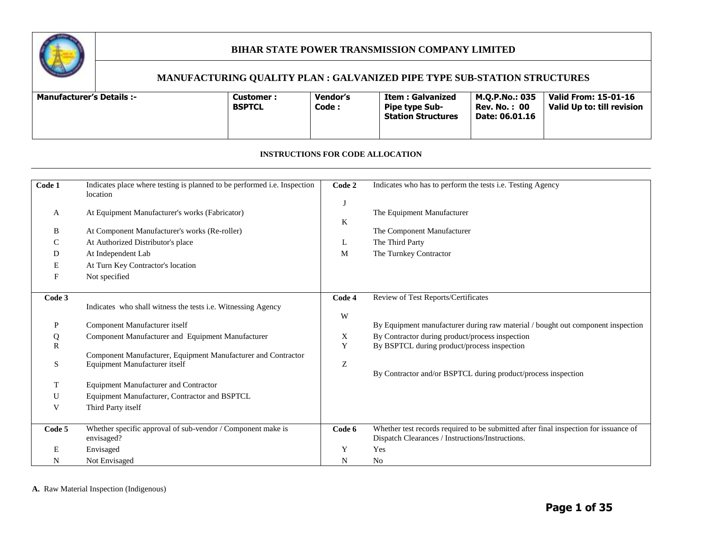

#### **MANUFACTURING QUALITY PLAN : GALVANIZED PIPE TYPE SUB-STATION STRUCTURES**

| Vendor's<br><b>Valid From: 15-01-16</b><br>M.O.P.No.: 035<br><b>Manufacturer's Details :-</b><br>Item : Galvanized<br><b>Customer :</b><br>Valid Up to: till revision<br><b>BSPTCL</b><br>Code :<br><b>Rev. No. : 00</b><br><b>Pipe type Sub-</b><br><b>Station Structures</b><br>Date: 06.01.16 |
|--------------------------------------------------------------------------------------------------------------------------------------------------------------------------------------------------------------------------------------------------------------------------------------------------|
|--------------------------------------------------------------------------------------------------------------------------------------------------------------------------------------------------------------------------------------------------------------------------------------------------|

#### **INSTRUCTIONS FOR CODE ALLOCATION**

| Code 1       | Indicates place where testing is planned to be performed i.e. Inspection<br>location | Code 2 | Indicates who has to perform the tests i.e. Testing Agency                           |
|--------------|--------------------------------------------------------------------------------------|--------|--------------------------------------------------------------------------------------|
| A            | At Equipment Manufacturer's works (Fabricator)                                       | K      | The Equipment Manufacturer                                                           |
| B            | At Component Manufacturer's works (Re-roller)                                        |        | The Component Manufacturer                                                           |
| C            | At Authorized Distributor's place                                                    | L      | The Third Party                                                                      |
| D            | At Independent Lab                                                                   | M      | The Turnkey Contractor                                                               |
| E            | At Turn Key Contractor's location                                                    |        |                                                                                      |
| F            | Not specified                                                                        |        |                                                                                      |
|              |                                                                                      |        |                                                                                      |
| Code 3       |                                                                                      | Code 4 | Review of Test Reports/Certificates                                                  |
|              | Indicates who shall witness the tests i.e. Witnessing Agency                         | W      |                                                                                      |
| P            | Component Manufacturer itself                                                        |        | By Equipment manufacturer during raw material / bought out component inspection      |
| Q            | Component Manufacturer and Equipment Manufacturer                                    | X      | By Contractor during product/process inspection                                      |
| $\mathbb{R}$ |                                                                                      | Y      | By BSPTCL during product/process inspection                                          |
|              | Component Manufacturer, Equipment Manufacturer and Contractor                        |        |                                                                                      |
| S            | Equipment Manufacturer itself                                                        | Z      |                                                                                      |
|              |                                                                                      |        | By Contractor and/or BSPTCL during product/process inspection                        |
| T            | <b>Equipment Manufacturer and Contractor</b>                                         |        |                                                                                      |
| U            | Equipment Manufacturer, Contractor and BSPTCL                                        |        |                                                                                      |
| V            | Third Party itself                                                                   |        |                                                                                      |
| Code 5       | Whether specific approval of sub-vendor / Component make is                          | Code 6 | Whether test records required to be submitted after final inspection for issuance of |
|              | envisaged?                                                                           |        | Dispatch Clearances / Instructions/Instructions.                                     |
| E            | Envisaged                                                                            | Y      | Yes                                                                                  |
| N            | Not Envisaged                                                                        | N      | N <sub>0</sub>                                                                       |

**A.** Raw Material Inspection (Indigenous)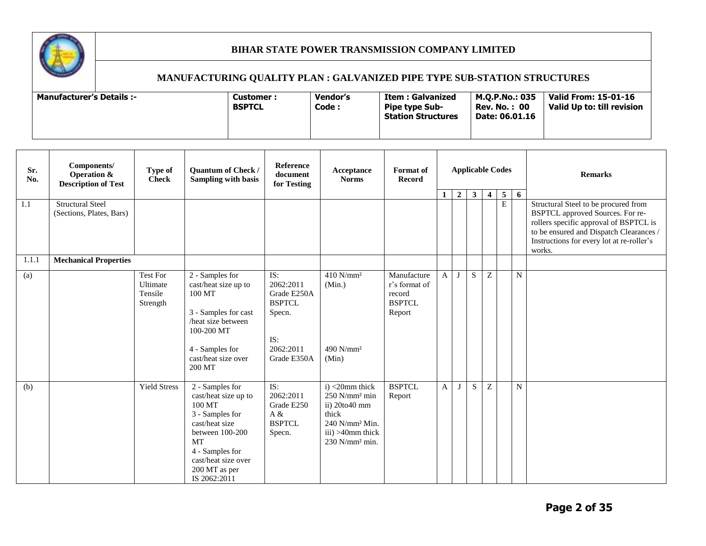

| Sr.<br>No. | Components/<br>Operation &<br><b>Description of Test</b> | Type of<br><b>Check</b>                            | Quantum of Check /<br><b>Sampling with basis</b>                                                                                                                                                  | Reference<br>document<br>for Testing                                                          | Acceptance<br><b>Norms</b>                                                                                                                                      | <b>Format</b> of<br><b>Record</b>                                 | <b>Applicable Codes</b> |                |              |                |                     | <b>Remarks</b> |                                                                                                                                                                                                                      |
|------------|----------------------------------------------------------|----------------------------------------------------|---------------------------------------------------------------------------------------------------------------------------------------------------------------------------------------------------|-----------------------------------------------------------------------------------------------|-----------------------------------------------------------------------------------------------------------------------------------------------------------------|-------------------------------------------------------------------|-------------------------|----------------|--------------|----------------|---------------------|----------------|----------------------------------------------------------------------------------------------------------------------------------------------------------------------------------------------------------------------|
| 1.1        | <b>Structural Steel</b><br>(Sections, Plates, Bars)      |                                                    |                                                                                                                                                                                                   |                                                                                               |                                                                                                                                                                 |                                                                   | $\mathbf{1}$            | $\overline{2}$ | $\mathbf{3}$ | $\overline{4}$ | 5<br>$\overline{E}$ | 6              | Structural Steel to be procured from<br>BSPTCL approved Sources. For re-<br>rollers specific approval of BSPTCL is<br>to be ensured and Dispatch Clearances /<br>Instructions for every lot at re-roller's<br>works. |
| 1.1.1      | <b>Mechanical Properties</b>                             |                                                    |                                                                                                                                                                                                   |                                                                                               |                                                                                                                                                                 |                                                                   |                         |                |              |                |                     |                |                                                                                                                                                                                                                      |
| (a)        |                                                          | <b>Test For</b><br>Ultimate<br>Tensile<br>Strength | 2 - Samples for<br>cast/heat size up to<br>100 MT<br>3 - Samples for cast<br>/heat size between<br>100-200 MT<br>4 - Samples for<br>cast/heat size over<br>200 MT                                 | IS:<br>2062:2011<br>Grade E250A<br><b>BSPTCL</b><br>Specn.<br>IS:<br>2062:2011<br>Grade E350A | $410$ N/mm <sup>2</sup><br>(Min.)<br>490 N/mm <sup>2</sup><br>(Min)                                                                                             | Manufacture<br>r's format of<br>record<br><b>BSPTCL</b><br>Report | $\mathbf{A}$            | J              | S.           | $\overline{z}$ |                     | $\mathbf N$    |                                                                                                                                                                                                                      |
| (b)        |                                                          | <b>Yield Stress</b>                                | 2 - Samples for<br>cast/heat size up to<br>100 MT<br>3 - Samples for<br>cast/heat size<br>between 100-200<br><b>MT</b><br>4 - Samples for<br>cast/heat size over<br>200 MT as per<br>IS 2062:2011 | IS:<br>2062:2011<br>Grade E250<br>A &<br><b>BSPTCL</b><br>Specn.                              | $i)$ <20mm thick<br>$250$ N/mm <sup>2</sup> min<br>ii) 20to40 mm<br>thick<br>240 N/mm <sup>2</sup> Min.<br>$iii) > 40$ mm thick<br>$230$ N/mm <sup>2</sup> min. | <b>BSPTCL</b><br>Report                                           | $\mathbf{A}$            | J              | S.           | $\overline{z}$ |                     | $\mathbf N$    |                                                                                                                                                                                                                      |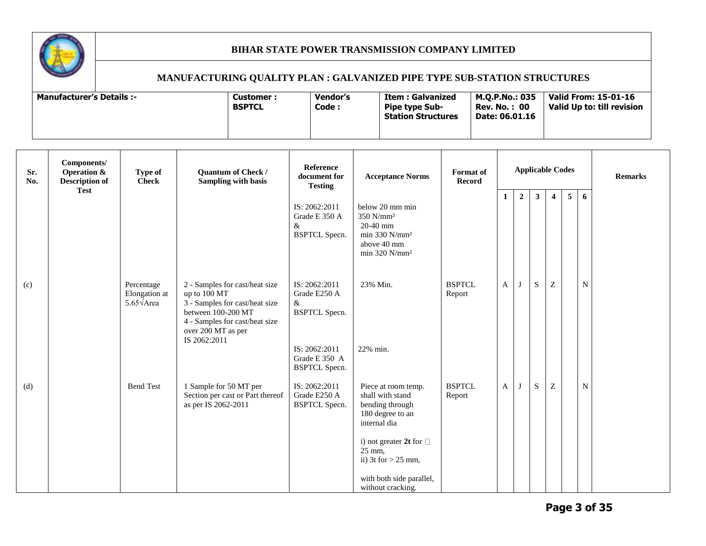

| <b>Manufacturer's Details :-</b> | Customer :<br><b>BSPTCL</b> | Vendor's<br>Code : | Item : Galvanized<br><b>Pipe type Sub-</b><br><b>Station Structures</b> | M.O.P.No.: 035<br><b>Rev. No.: 00</b><br>Date: 06.01.16 | Valid From: 15-01-16<br>Valid Up to: till revision |
|----------------------------------|-----------------------------|--------------------|-------------------------------------------------------------------------|---------------------------------------------------------|----------------------------------------------------|
|----------------------------------|-----------------------------|--------------------|-------------------------------------------------------------------------|---------------------------------------------------------|----------------------------------------------------|

| Sr.<br>No. | Components/<br>Operation &<br><b>Description of</b> | Type of<br><b>Check</b>                                  | <b>Quantum of Check /</b><br><b>Sampling with basis</b>                                                                                                                        | Reference<br>document for<br><b>Testing</b>                                                                          | <b>Acceptance Norms</b>                                                                                                                                                                                              | <b>Format</b> of<br><b>Record</b> | <b>Applicable Codes</b> |                |              |                           |   | <b>Remarks</b> |  |
|------------|-----------------------------------------------------|----------------------------------------------------------|--------------------------------------------------------------------------------------------------------------------------------------------------------------------------------|----------------------------------------------------------------------------------------------------------------------|----------------------------------------------------------------------------------------------------------------------------------------------------------------------------------------------------------------------|-----------------------------------|-------------------------|----------------|--------------|---------------------------|---|----------------|--|
|            | <b>Test</b>                                         |                                                          |                                                                                                                                                                                | IS: 2062:2011<br>Grade E 350 A<br>&<br><b>BSPTCL</b> Specn.                                                          | below 20 mm min<br>350 N/mm <sup>2</sup><br>20-40 mm<br>min 330 $N/mm^2$<br>above 40 mm<br>$min$ 320 N/ $mm2$                                                                                                        |                                   | $\mathbf{1}$            | $\overline{2}$ | $\mathbf{3}$ | $\overline{4}$            | 5 | 6              |  |
| (c)        |                                                     | Percentage<br>Elongation at<br>5.65 $\sqrt{\text{Area}}$ | 2 - Samples for cast/heat size<br>up to 100 MT<br>3 - Samples for cast/heat size<br>between 100-200 MT<br>4 - Samples for cast/heat size<br>over 200 MT as per<br>IS 2062:2011 | IS: 2062:2011<br>Grade E250 A<br>&<br><b>BSPTCL Specn.</b><br>IS: 2062:2011<br>Grade E 350 A<br><b>BSPTCL Specn.</b> | 23% Min.<br>22% min.                                                                                                                                                                                                 | <b>BSPTCL</b><br>Report           | A                       | J              | S            | Z                         |   | N              |  |
| (d)        |                                                     | <b>Bend Test</b>                                         | 1 Sample for 50 MT per<br>Section per cast or Part thereof<br>as per IS 2062-2011                                                                                              | IS: 2062:2011<br>Grade E250 A<br><b>BSPTCL Specn.</b>                                                                | Piece at room temp.<br>shall with stand<br>bending through<br>180 degree to an<br>internal dia<br>i) not greater 2t for $\Box$<br>25 mm,<br>ii) $3t$ for $> 25$ mm,<br>with both side parallel,<br>without cracking. | <b>BSPTCL</b><br>Report           | A                       | J              | S            | $\ensuremath{\mathbf{Z}}$ |   | N              |  |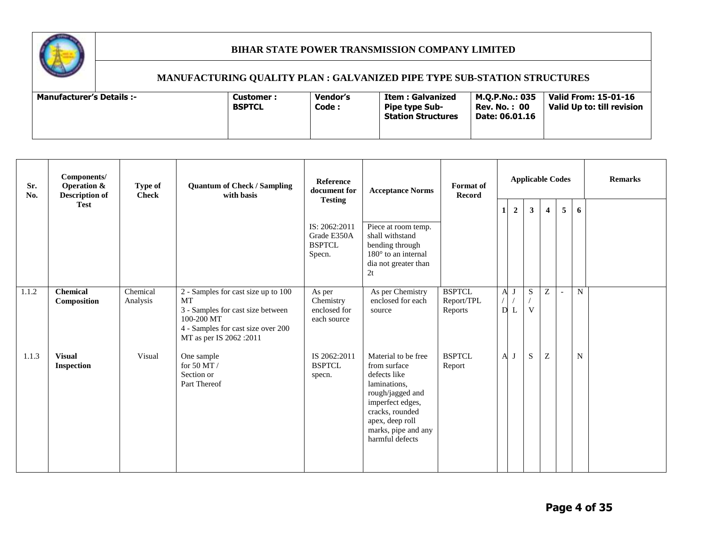

| Sr.<br>No. | Components/<br><b>Operation &amp;</b><br><b>Description of</b> | Type of<br><b>Check</b> | <b>Quantum of Check / Sampling</b><br>with basis                                                                                                              | Reference<br>document for                               | <b>Acceptance Norms</b>                                                                                                                                                                     | <b>Format</b> of<br><b>Record</b>      |                   |                | <b>Applicable Codes</b> |                         |   |             | <b>Remarks</b> |
|------------|----------------------------------------------------------------|-------------------------|---------------------------------------------------------------------------------------------------------------------------------------------------------------|---------------------------------------------------------|---------------------------------------------------------------------------------------------------------------------------------------------------------------------------------------------|----------------------------------------|-------------------|----------------|-------------------------|-------------------------|---|-------------|----------------|
|            | <b>Test</b>                                                    |                         |                                                                                                                                                               | <b>Testing</b>                                          |                                                                                                                                                                                             |                                        | $\mathbf{1}$      | $\overline{2}$ | 3 <sup>1</sup>          | $\overline{\mathbf{4}}$ | 5 | 6           |                |
|            |                                                                |                         |                                                                                                                                                               | IS: 2062:2011<br>Grade E350A<br><b>BSPTCL</b><br>Specn. | Piece at room temp.<br>shall withstand<br>bending through<br>$180^\circ$ to an internal<br>dia not greater than<br>2t                                                                       |                                        |                   |                |                         |                         |   |             |                |
| 1.1.2      | <b>Chemical</b><br>Composition                                 | Chemical<br>Analysis    | 2 - Samples for cast size up to 100<br>MT<br>3 - Samples for cast size between<br>100-200 MT<br>4 - Samples for cast size over 200<br>MT as per IS 2062 :2011 | As per<br>Chemistry<br>enclosed for<br>each source      | As per Chemistry<br>enclosed for each<br>source                                                                                                                                             | <b>BSPTCL</b><br>Report/TPL<br>Reports | $\mathbf{A}$<br>D | J              | ${\bf S}$<br>V          | Z                       |   | N           |                |
| 1.1.3      | <b>Visual</b><br><b>Inspection</b>                             | Visual                  | One sample<br>for 50 MT /<br>Section or<br>Part Thereof                                                                                                       | IS 2062:2011<br><b>BSPTCL</b><br>specn.                 | Material to be free<br>from surface<br>defects like<br>laminations,<br>rough/jagged and<br>imperfect edges,<br>cracks, rounded<br>apex, deep roll<br>marks, pipe and any<br>harmful defects | <b>BSPTCL</b><br>Report                | $\mathbf{A}$      | J              | S                       | Z                       |   | $\mathbf N$ |                |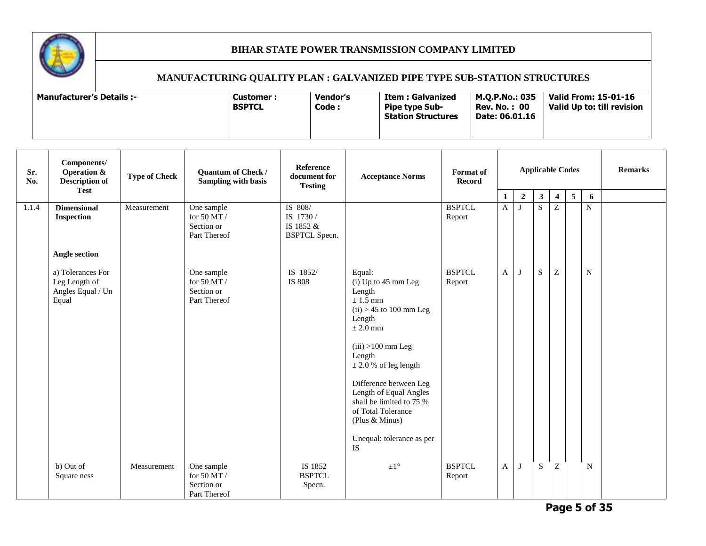

| Sr.<br>No. | Components/<br><b>Operation &amp;</b><br><b>Description of</b><br><b>Test</b> | <b>Type of Check</b> | Quantum of Check /<br>Sampling with basis                   | Reference<br>document for<br><b>Testing</b>               | <b>Acceptance Norms</b>                                                                                                                                                                                                                                                                                                                           | <b>Applicable Codes</b><br><b>Format</b> of<br><b>Record</b> |   |                |              |                         |                | <b>Remarks</b> |  |
|------------|-------------------------------------------------------------------------------|----------------------|-------------------------------------------------------------|-----------------------------------------------------------|---------------------------------------------------------------------------------------------------------------------------------------------------------------------------------------------------------------------------------------------------------------------------------------------------------------------------------------------------|--------------------------------------------------------------|---|----------------|--------------|-------------------------|----------------|----------------|--|
|            |                                                                               |                      |                                                             |                                                           |                                                                                                                                                                                                                                                                                                                                                   |                                                              | 1 | $\overline{2}$ | $\mathbf{3}$ | $\overline{\mathbf{4}}$ | 5 <sup>5</sup> | 6              |  |
| 1.1.4      | <b>Dimensional</b><br><b>Inspection</b>                                       | Measurement          | One sample<br>for 50 MT $\!/$<br>Section or<br>Part Thereof | IS 808/<br>IS 1730 /<br>IS 1852 &<br><b>BSPTCL Specn.</b> |                                                                                                                                                                                                                                                                                                                                                   | <b>BSPTCL</b><br>Report                                      | A | $\mathbf I$    | S            | $\overline{z}$          |                | $\mathbf N$    |  |
|            | Angle section                                                                 |                      |                                                             |                                                           |                                                                                                                                                                                                                                                                                                                                                   |                                                              |   |                |              |                         |                |                |  |
|            | a) Tolerances For<br>Leg Length of<br>Angles Equal / Un<br>Equal              |                      | One sample<br>for 50 MT $/$<br>Section or<br>Part Thereof   | IS 1852/<br>IS 808                                        | Equal:<br>$(i)$ Up to 45 mm Leg<br>Length<br>$\pm$ 1.5 mm<br>$(ii) > 45$ to 100 mm Leg<br>Length<br>$\pm 2.0$ mm<br>$(iii) > 100$ mm Leg<br>Length<br>$\pm$ 2.0 % of leg length<br>Difference between Leg<br>Length of Equal Angles<br>shall be limited to 75 %<br>of Total Tolerance<br>(Plus & Minus)<br>Unequal: tolerance as per<br><b>IS</b> | <b>BSPTCL</b><br>Report                                      | A | J              | ${\bf S}$    | Z                       |                | $\mathbf N$    |  |
|            | b) Out of<br>Square ness                                                      | Measurement          | One sample<br>for 50 MT /<br>Section or<br>Part Thereof     | IS 1852<br><b>BSPTCL</b><br>Specn.                        | $\pm1^{\circ}$                                                                                                                                                                                                                                                                                                                                    | <b>BSPTCL</b><br>Report                                      | A | J              | S            | Z                       |                | N              |  |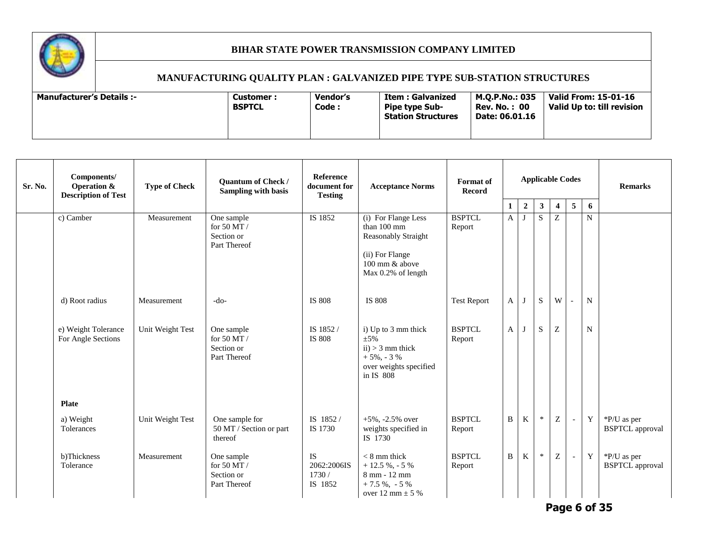

# **MANUFACTURING QUALITY PLAN : GALVANIZED PIPE TYPE SUB-STATION STRUCTURES**

| Sr. No. | Components/<br><b>Operation &amp;</b><br><b>Description of Test</b> | <b>Type of Check</b> | Quantum of Check /<br><b>Sampling with basis</b>          | Reference<br>document for<br><b>Testing</b> | <b>Acceptance Norms</b>                                                                                              | <b>Format</b> of<br><b>Record</b> | <b>Applicable Codes</b><br>$\overline{5}$<br>6<br>$\overline{2}$<br>$\mathbf{3}$<br>$\overline{4}$<br>1 |             |              |              |                          | <b>Remarks</b> |                                       |
|---------|---------------------------------------------------------------------|----------------------|-----------------------------------------------------------|---------------------------------------------|----------------------------------------------------------------------------------------------------------------------|-----------------------------------|---------------------------------------------------------------------------------------------------------|-------------|--------------|--------------|--------------------------|----------------|---------------------------------------|
|         | c) Camber                                                           | Measurement          | One sample<br>for 50 MT /<br>Section or<br>Part Thereof   | IS 1852                                     | (i) For Flange Less<br>than 100 mm<br>Reasonably Straight<br>(ii) For Flange<br>100 mm & above<br>Max 0.2% of length | <b>BSPTCL</b><br>Report           | $\mathbf{A}$                                                                                            | ı           | <sub>S</sub> | Z            |                          | $\mathbf N$    |                                       |
|         | d) Root radius                                                      | Measurement          | $-do-$                                                    | IS 808                                      | <b>IS 808</b>                                                                                                        | <b>Test Report</b>                | $\mathbf{A}$                                                                                            | J           | $\mathbf S$  | W            |                          | $\mathbf N$    |                                       |
|         | e) Weight Tolerance<br>For Angle Sections                           | Unit Weight Test     | One sample<br>for 50 MT $/$<br>Section or<br>Part Thereof | IS 1852/<br><b>IS 808</b>                   | i) Up to 3 mm thick<br>$\pm 5\%$<br>$ii) > 3$ mm thick<br>$+5\%$ , - 3 %<br>over weights specified<br>in IS 808      | <b>BSPTCL</b><br>Report           | A                                                                                                       | $\mathbf I$ | S            | Z            |                          | $\mathbf N$    |                                       |
|         | <b>Plate</b>                                                        |                      |                                                           |                                             |                                                                                                                      |                                   |                                                                                                         |             |              |              |                          |                |                                       |
|         | a) Weight<br>Tolerances                                             | Unit Weight Test     | One sample for<br>50 MT / Section or part<br>thereof      | IS 1852/<br>IS 1730                         | $+5\%$ , $-2.5\%$ over<br>weights specified in<br>IS 1730                                                            | <b>BSPTCL</b><br>Report           | B                                                                                                       | K           | $\ast$       | $\mathbf{Z}$ | $\overline{\phantom{a}}$ | Y              | *P/U as per<br><b>BSPTCL</b> approval |
|         | b)Thickness<br>Tolerance                                            | Measurement          | One sample<br>for 50 MT $/$<br>Section or<br>Part Thereof | IS<br>2062:2006IS<br>1730/<br>IS 1852       | $< 8$ mm thick<br>$+12.5 \%$ , - 5 %<br>8 mm - 12 mm<br>$+7.5 \%$ , $-5 \%$<br>over 12 mm $\pm$ 5 %                  | <b>BSPTCL</b><br>Report           | B                                                                                                       | K           | $\ast$       | Z            | $\overline{\phantom{a}}$ | $\mathbf Y$    | *P/U as per<br><b>BSPTCL</b> approval |

**Page 6 of 35**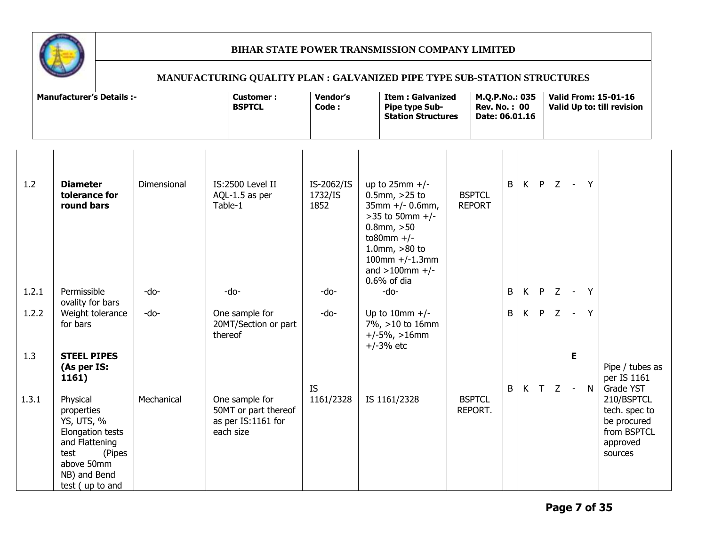

| <b>Manufacturer's Details :-</b> |                                                                                                                                                      | <b>Customer:</b><br><b>BSPTCL</b> | <b>Vendor's</b><br><b>Item: Galvanized</b><br>Code:<br>Pipe type Sub-<br><b>Station Structures</b> |                               |                                                                                                                                                                                    | M.Q.P.No.: 035<br><b>Rev. No.: 00</b><br>Date: 06.01.16 |   |   | <b>Valid From: 15-01-16</b><br>Valid Up to: till revision |   |                          |   |                                                                                  |  |
|----------------------------------|------------------------------------------------------------------------------------------------------------------------------------------------------|-----------------------------------|----------------------------------------------------------------------------------------------------|-------------------------------|------------------------------------------------------------------------------------------------------------------------------------------------------------------------------------|---------------------------------------------------------|---|---|-----------------------------------------------------------|---|--------------------------|---|----------------------------------------------------------------------------------|--|
| 1.2                              | <b>Diameter</b><br>tolerance for<br>round bars                                                                                                       | Dimensional                       | IS:2500 Level II<br>AQL-1.5 as per<br>Table-1                                                      | IS-2062/IS<br>1732/IS<br>1852 | up to $25$ mm +/-<br>$0.5$ mm, $>25$ to<br>$35mm +/- 0.6mm,$<br>$>35$ to 50mm +/-<br>$0.8$ mm, $>50$<br>to80mm $+/-$<br>1.0mm, $>80$ to<br>$100mm +/-1.3mm$<br>and $>100$ mm $+/-$ | <b>BSPTCL</b><br><b>REPORT</b>                          | B | K | P                                                         | Z | $\overline{\phantom{a}}$ | Y |                                                                                  |  |
| 1.2.1                            | Permissible<br>ovality for bars                                                                                                                      | -do-                              | -do-                                                                                               | -do-                          | $0.6\%$ of dia<br>-do-                                                                                                                                                             |                                                         | B | K | P                                                         | Z | $\blacksquare$           | Y |                                                                                  |  |
| 1.2.2                            | Weight tolerance<br>for bars                                                                                                                         | -do-                              | One sample for<br>20MT/Section or part<br>thereof                                                  | -do-                          | Up to 10mm $+/-$<br>7%, >10 to 16mm<br>$+/-5\%$ , >16mm<br>$+/-3%$ etc                                                                                                             |                                                         | B | K | P                                                         | Z | $\blacksquare$           | Y |                                                                                  |  |
| 1.3                              | <b>STEEL PIPES</b><br>(As per IS:<br>1161)                                                                                                           |                                   |                                                                                                    | <b>IS</b>                     |                                                                                                                                                                                    |                                                         | B | K | $\mathsf{T}$                                              | Z | E                        | N | Pipe / tubes as<br>per IS 1161<br>Grade YST                                      |  |
| 1.3.1                            | Physical<br>properties<br><b>YS, UTS, %</b><br>Elongation tests<br>and Flattening<br>test<br>(Pipes<br>above 50mm<br>NB) and Bend<br>test (up to and | Mechanical                        | One sample for<br>50MT or part thereof<br>as per IS:1161 for<br>each size                          | 1161/2328                     | IS 1161/2328                                                                                                                                                                       | <b>BSPTCL</b><br>REPORT.                                |   |   |                                                           |   |                          |   | 210/BSPTCL<br>tech. spec to<br>be procured<br>from BSPTCL<br>approved<br>sources |  |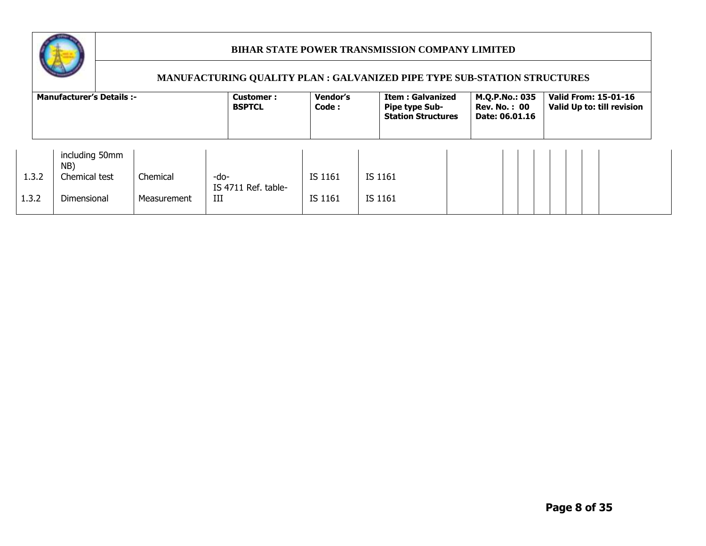

|       | <b>Manufacturer's Details :-</b> |             | Customer:<br><b>BSPTCL</b>  | Vendor's<br>Code: | <b>Item: Galvanized</b><br><b>Pipe type Sub-</b><br><b>Station Structures</b> | M.Q.P.No.: 035<br><b>Rev. No.: 00</b><br>Date: 06.01.16 | <b>Valid From: 15-01-16</b><br>Valid Up to: till revision |
|-------|----------------------------------|-------------|-----------------------------|-------------------|-------------------------------------------------------------------------------|---------------------------------------------------------|-----------------------------------------------------------|
|       | including 50mm                   |             |                             |                   |                                                                               |                                                         |                                                           |
|       | NB)                              |             |                             |                   |                                                                               |                                                         |                                                           |
| 1.3.2 | Chemical test                    | Chemical    | -do-<br>IS 4711 Ref. table- | IS 1161           | IS 1161                                                                       |                                                         |                                                           |
| 1.3.2 | <b>Dimensional</b>               | Measurement | III                         | IS 1161           | IS 1161                                                                       |                                                         |                                                           |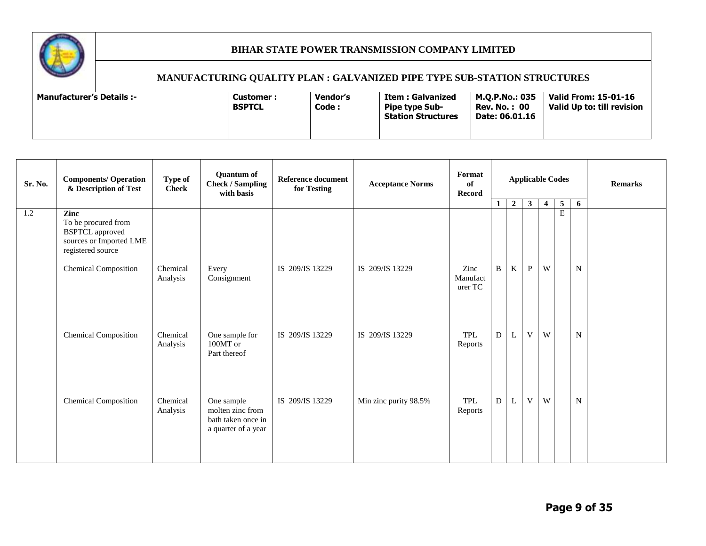

| Sr. No. | <b>Components/ Operation</b><br>& Description of Test                  | Type of<br><b>Check</b> | <b>Quantum of</b><br><b>Check / Sampling</b><br>with basis    | <b>Reference document</b><br>for Testing | <b>Acceptance Norms</b> | Format<br><b>Applicable Codes</b><br>of<br>Record |              |                | <b>Remarks</b> |                |                  |             |  |
|---------|------------------------------------------------------------------------|-------------------------|---------------------------------------------------------------|------------------------------------------|-------------------------|---------------------------------------------------|--------------|----------------|----------------|----------------|------------------|-------------|--|
| 1.2     | Zinc<br>To be procured from                                            |                         |                                                               |                                          |                         |                                                   | $\mathbf{1}$ | $\overline{2}$ | 3 <sup>1</sup> | $\overline{4}$ | 5<br>$\mathbf E$ | 6           |  |
|         | <b>BSPTCL</b> approved<br>sources or Imported LME<br>registered source |                         |                                                               |                                          |                         |                                                   |              |                |                |                |                  |             |  |
|         | <b>Chemical Composition</b>                                            | Chemical<br>Analysis    | Every<br>Consignment                                          | IS 209/IS 13229                          | IS 209/IS 13229         | Zinc<br>Manufact<br>urer TC                       | B            | K              | $\mathbf{P}$   | W              |                  | N           |  |
|         | <b>Chemical Composition</b>                                            | Chemical<br>Analysis    | One sample for<br>100MT or<br>Part thereof                    | IS 209/IS 13229                          | IS 209/IS 13229         | TPL<br>Reports                                    | $\mathbf{D}$ | L              | V              | W              |                  | N           |  |
|         | <b>Chemical Composition</b>                                            | Chemical                | One sample                                                    | IS 209/IS 13229                          | Min zinc purity 98.5%   | TPL                                               | ${\bf D}$    | L              | $\mathbf{V}$   | W              |                  | $\mathbf N$ |  |
|         |                                                                        | Analysis                | molten zinc from<br>bath taken once in<br>a quarter of a year |                                          |                         | Reports                                           |              |                |                |                |                  |             |  |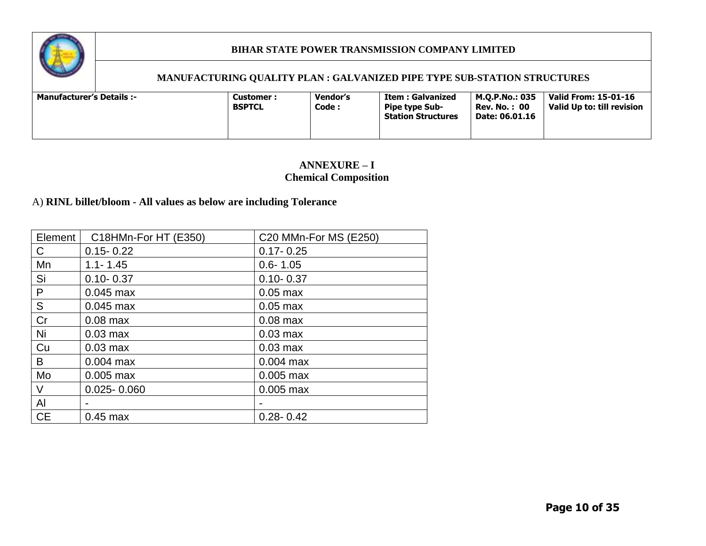

#### **MANUFACTURING QUALITY PLAN : GALVANIZED PIPE TYPE SUB-STATION STRUCTURES**

| <b>Manufacturer's Details :-</b> |  | <b>Customer :</b><br><b>BSPTCL</b> | Vendor's<br>Code : | Item : Galvanized<br><b>Pipe type Sub-</b><br><b>Station Structures</b> | M.O.P.No.: 035<br><b>Rev. No.: 00</b><br>Date: 06.01.16 | <b>Valid From: 15-01-16</b><br>Valid Up to: till revision |
|----------------------------------|--|------------------------------------|--------------------|-------------------------------------------------------------------------|---------------------------------------------------------|-----------------------------------------------------------|
|----------------------------------|--|------------------------------------|--------------------|-------------------------------------------------------------------------|---------------------------------------------------------|-----------------------------------------------------------|

# **ANNEXURE – I Chemical Composition**

# A) **RINL billet/bloom - All values as below are including Tolerance**

| Element   | C18HMn-For HT (E350)     | C20 MMn-For MS (E250) |
|-----------|--------------------------|-----------------------|
| C         | $0.15 - 0.22$            | $0.17 - 0.25$         |
| Mn        | $1.1 - 1.45$             | $0.6 - 1.05$          |
| Si        | $0.10 - 0.37$            | $0.10 - 0.37$         |
| P         | $0.045$ max              | $0.05$ max            |
| S         | $0.045$ max              | $0.05$ max            |
| Cr        | $0.08$ max               | $0.08$ max            |
| Ni        | $0.03$ max               | $0.03$ max            |
| Cu        | $0.03$ max               | $0.03$ max            |
| B         | $0.004$ max              | $0.004$ max           |
| Mo        | $0.005$ max              | $0.005$ max           |
| V         | $0.025 - 0.060$          | $0.005$ max           |
| AI        | $\overline{\phantom{0}}$ |                       |
| <b>CE</b> | $0.45$ max               | $0.28 - 0.42$         |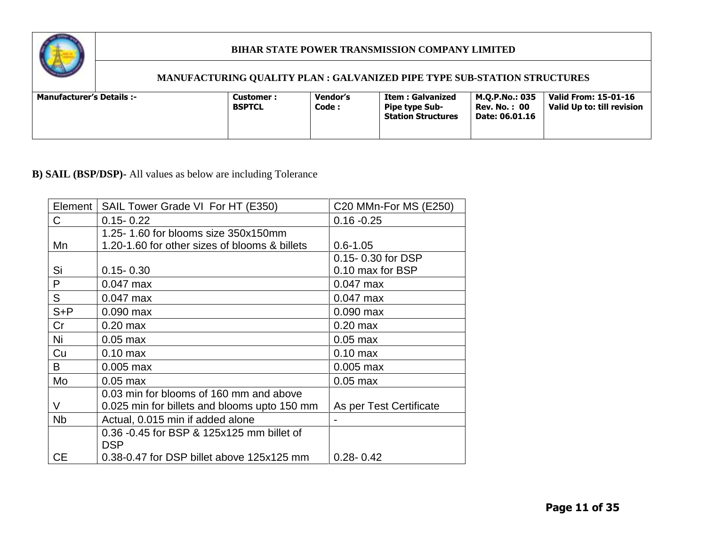

# **MANUFACTURING QUALITY PLAN : GALVANIZED PIPE TYPE SUB-STATION STRUCTURES**

# **B) SAIL (BSP/DSP)-** All values as below are including Tolerance

| Element              | SAIL Tower Grade VI For HT (E350)             | C20 MMn-For MS (E250)   |
|----------------------|-----------------------------------------------|-------------------------|
| C                    | $0.15 - 0.22$                                 | $0.16 - 0.25$           |
|                      | 1.25-1.60 for blooms size 350x150mm           |                         |
| Mn                   | 1.20-1.60 for other sizes of blooms & billets | $0.6 - 1.05$            |
|                      |                                               | 0.15-0.30 for DSP       |
| Si                   | $0.15 - 0.30$                                 | 0.10 max for BSP        |
| P                    | $0.047$ max                                   | $0.047$ max             |
| S                    | $0.047$ max                                   | $0.047$ max             |
| $S + P$              | $0.090$ max                                   | $0.090$ max             |
| Cr                   | $0.20$ max                                    | $0.20$ max              |
| Ni                   | $0.05$ max                                    | $0.05$ max              |
| Cu                   | $0.10$ max                                    | $0.10$ max              |
| B                    | $0.005$ max                                   | $0.005$ max             |
| Mo                   | $0.05$ max                                    | $0.05$ max              |
|                      | 0.03 min for blooms of 160 mm and above       |                         |
| V                    | 0.025 min for billets and blooms upto 150 mm  | As per Test Certificate |
| <b>N<sub>b</sub></b> | Actual, 0.015 min if added alone              |                         |
|                      | 0.36 -0.45 for BSP & 125x125 mm billet of     |                         |
|                      | <b>DSP</b>                                    |                         |
| <b>CE</b>            | 0.38-0.47 for DSP billet above 125x125 mm     | $0.28 - 0.42$           |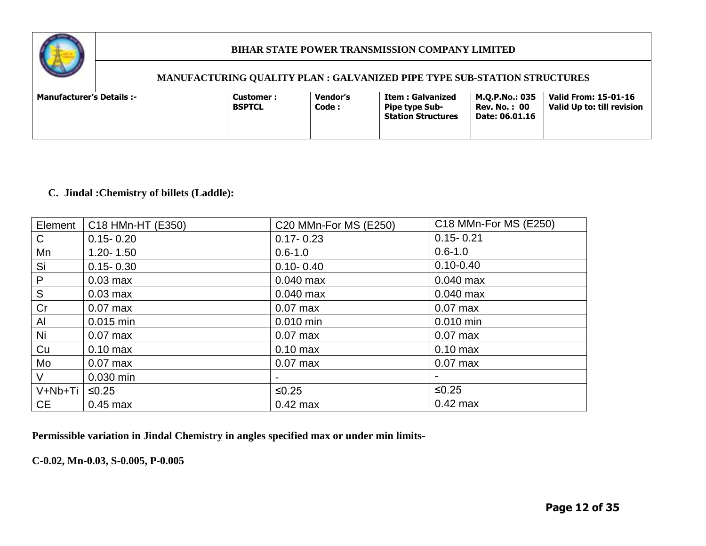

#### **MANUFACTURING QUALITY PLAN : GALVANIZED PIPE TYPE SUB-STATION STRUCTURES**

| <b>Manufacturer's Details :-</b><br>Customer :<br><b>BSPTCL</b> | Vendor's<br>Code : | Item : Galvanized<br><b>Pipe type Sub-</b><br><b>Station Structures</b> | M.O.P.No.: 035<br>Rev. No. :  00<br>Date: 06.01.16 | Valid From: 15-01-16<br>Valid Up to: till revision |
|-----------------------------------------------------------------|--------------------|-------------------------------------------------------------------------|----------------------------------------------------|----------------------------------------------------|
|-----------------------------------------------------------------|--------------------|-------------------------------------------------------------------------|----------------------------------------------------|----------------------------------------------------|

# **C. Jindal :Chemistry of billets (Laddle):**

| Element      | C18 HMn-HT (E350) | C20 MMn-For MS (E250) | C18 MMn-For MS (E250) |
|--------------|-------------------|-----------------------|-----------------------|
| C            | $0.15 - 0.20$     | $0.17 - 0.23$         | $0.15 - 0.21$         |
| Mn           | $1.20 - 1.50$     | $0.6 - 1.0$           | $0.6 - 1.0$           |
| Si           | $0.15 - 0.30$     | $0.10 - 0.40$         | $0.10 - 0.40$         |
| $\mathsf{P}$ | $0.03$ max        | $0.040$ max           | $0.040$ max           |
| S            | $0.03$ max        | $0.040$ max           | $0.040$ max           |
| Cr           | $0.07$ max        | $0.07$ max            | $0.07$ max            |
| Al           | 0.015 min         | 0.010 min             | $0.010$ min           |
| Ni           | $0.07$ max        | $0.07$ max            | $0.07$ max            |
| Cu           | $0.10$ max        | $0.10$ max            | $0.10$ max            |
| Mo           | $0.07$ max        | $0.07$ max            | $0.07$ max            |
| $\vee$       | 0.030 min         |                       |                       |
| V+Nb+Ti      | $≤0.25$           | $≤0.25$               | $≤0.25$               |
| <b>CE</b>    | $0.45$ max        | $0.42$ max            | $0.42$ max            |

**Permissible variation in Jindal Chemistry in angles specified max or under min limits-**

**C-0.02, Mn-0.03, S-0.005, P-0.005**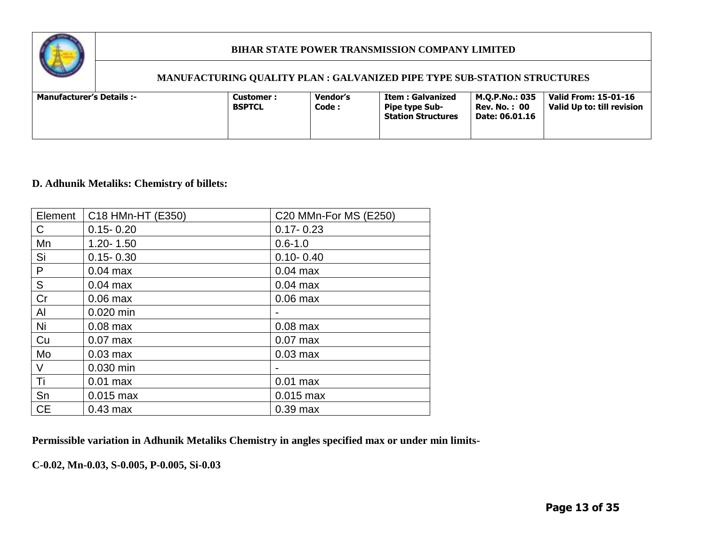

#### **MANUFACTURING QUALITY PLAN : GALVANIZED PIPE TYPE SUB-STATION STRUCTURES**

# **D. Adhunik Metaliks: Chemistry of billets:**

| Element   | C18 HMn-HT (E350) | C20 MMn-For MS (E250) |
|-----------|-------------------|-----------------------|
| C         | $0.15 - 0.20$     | $0.17 - 0.23$         |
| Mn        | $1.20 - 1.50$     | $0.6 - 1.0$           |
| Si        | $0.15 - 0.30$     | $0.10 - 0.40$         |
| P         | $0.04$ max        | $0.04$ max            |
| S         | $0.04$ max        | $0.04$ max            |
| Cr        | $0.06$ max        | $0.06$ max            |
| Al        | 0.020 min         |                       |
| Ni        | $0.08$ max        | $0.08$ max            |
| Cu        | $0.07$ max        | $0.07$ max            |
| Mo        | $0.03$ max        | $0.03$ max            |
| V         | 0.030 min         |                       |
| Ti        | $0.01$ max        | $0.01$ max            |
| Sn        | $0.015$ max       | $0.015$ max           |
| <b>CE</b> | $0.43$ max        | $0.39$ max            |

**Permissible variation in Adhunik Metaliks Chemistry in angles specified max or under min limits-**

**C-0.02, Mn-0.03, S-0.005, P-0.005, Si-0.03**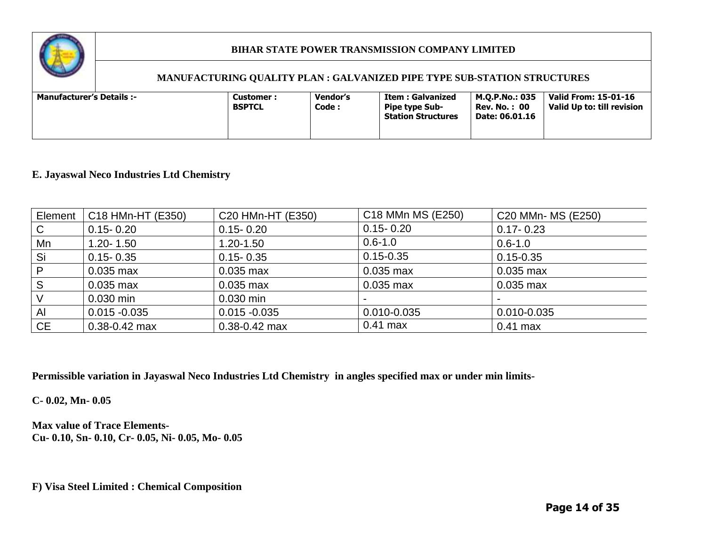

#### **MANUFACTURING QUALITY PLAN : GALVANIZED PIPE TYPE SUB-STATION STRUCTURES**

| Code :<br><b>BSPTCL</b><br><b>Pipe type Sub-</b><br><b>Rev. No. : 00</b><br><b>Station Structures</b><br>Date: 06.01.16 | <b>Manufacturer's Details :-</b> | Customer : | Vendor's | Item : Galvanized | <b>M.O.P.No.: 035</b> | Valid From: 15-01-16<br>Valid Up to: till revision |
|-------------------------------------------------------------------------------------------------------------------------|----------------------------------|------------|----------|-------------------|-----------------------|----------------------------------------------------|
|                                                                                                                         |                                  |            |          |                   |                       |                                                    |

#### **E. Jayaswal Neco Industries Ltd Chemistry**

| Element   | C18 HMn-HT (E350) | C20 HMn-HT (E350) | C18 MMn MS (E250)        | C20 MMn- MS (E250)       |
|-----------|-------------------|-------------------|--------------------------|--------------------------|
| C         | $0.15 - 0.20$     | $0.15 - 0.20$     | $0.15 - 0.20$            | $0.17 - 0.23$            |
| Mn        | $1.20 - 1.50$     | $1.20 - 1.50$     | $0.6 - 1.0$              | $0.6 - 1.0$              |
| Si        | $0.15 - 0.35$     | $0.15 - 0.35$     | $0.15 - 0.35$            | $0.15 - 0.35$            |
| P         | $0.035$ max       | $0.035$ max       | $0.035$ max              | $0.035$ max              |
| S         | $0.035$ max       | $0.035$ max       | $0.035$ max              | $0.035$ max              |
|           | $0.030$ min       | $0.030$ min       | $\overline{\phantom{0}}$ | $\overline{\phantom{0}}$ |
| Al        | $0.015 - 0.035$   | $0.015 - 0.035$   | 0.010-0.035              | 0.010-0.035              |
| <b>CE</b> | $0.38 - 0.42$ max | $0.38 - 0.42$ max | $0.41$ max               | $0.41$ max               |

**Permissible variation in Jayaswal Neco Industries Ltd Chemistry in angles specified max or under min limits-**

**C- 0.02, Mn- 0.05**

**Max value of Trace Elements-Cu- 0.10, Sn- 0.10, Cr- 0.05, Ni- 0.05, Mo- 0.05**

**F) Visa Steel Limited : Chemical Composition**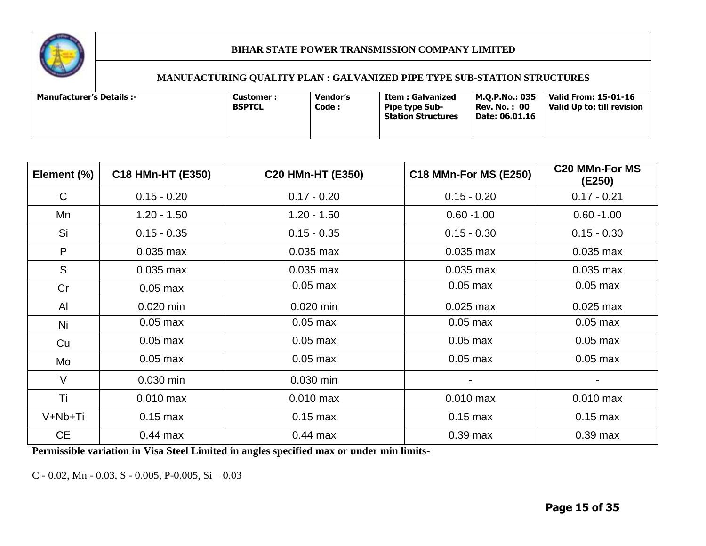

# **MANUFACTURING QUALITY PLAN : GALVANIZED PIPE TYPE SUB-STATION STRUCTURES**

| Element (%) | C18 HMn-HT (E350) | C20 HMn-HT (E350) | <b>C18 MMn-For MS (E250)</b> | <b>C20 MMn-For MS</b><br>(E250) |
|-------------|-------------------|-------------------|------------------------------|---------------------------------|
| C           | $0.15 - 0.20$     | $0.17 - 0.20$     | $0.15 - 0.20$                | $0.17 - 0.21$                   |
| Mn          | $1.20 - 1.50$     | $1.20 - 1.50$     | $0.60 - 1.00$                | $0.60 - 1.00$                   |
| Si          | $0.15 - 0.35$     | $0.15 - 0.35$     | $0.15 - 0.30$                | $0.15 - 0.30$                   |
| P           | $0.035$ max       | $0.035$ max       | $0.035$ max                  | $0.035$ max                     |
| S           | $0.035$ max       | $0.035$ max       | $0.035$ max                  | $0.035$ max                     |
| Cr          | $0.05$ max        | $0.05$ max        | $0.05$ max                   | $0.05$ max                      |
| Al          | $0.020$ min       | 0.020 min         | $0.025$ max                  | $0.025$ max                     |
| Ni          | $0.05$ max        | $0.05$ max        | $0.05$ max                   | $0.05$ max                      |
| Cu          | $0.05$ max        | $0.05$ max        | $0.05$ max                   | $0.05$ max                      |
| Mo          | $0.05$ max        | $0.05$ max        | $0.05$ max                   | $0.05$ max                      |
| $\vee$      | 0.030 min         | 0.030 min         | $\blacksquare$               |                                 |
| Τi          | $0.010$ max       | $0.010$ max       | $0.010$ max                  | $0.010$ max                     |
| V+Nb+Ti     | $0.15$ max        | $0.15$ max        | $0.15$ max                   | $0.15$ max                      |
| <b>CE</b>   | $0.44$ max        | $0.44$ max        | $0.39$ max                   | $0.39$ max                      |

**Permissible variation in Visa Steel Limited in angles specified max or under min limits-**

C - 0.02, Mn - 0.03, S - 0.005, P-0.005, Si – 0.03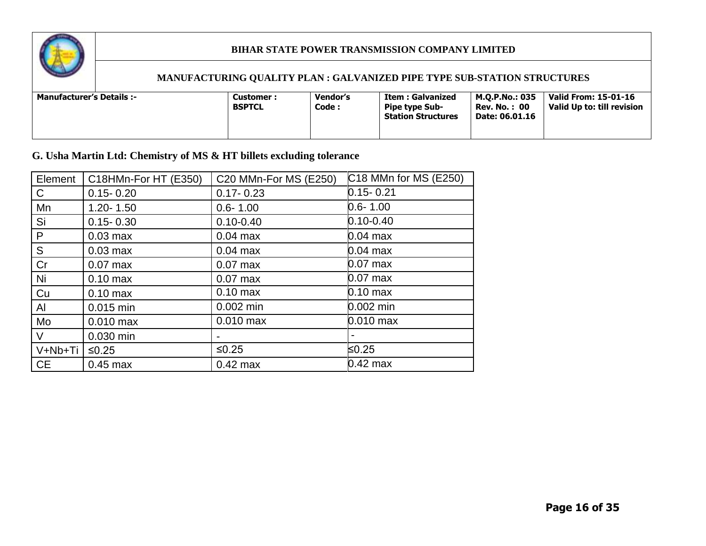

# **MANUFACTURING QUALITY PLAN : GALVANIZED PIPE TYPE SUB-STATION STRUCTURES**

| <b>Manufacturer's Details :-</b><br><b>Customer :</b><br><b>BSPTCL</b> | <b>Vendor's</b><br>Code: | Item : Galvanized<br><b>Pipe type Sub-</b><br><b>Station Structures</b> | M.O.P.No.: 035<br><b>Rev. No. : 00</b><br>Date: 06.01.16 | Valid From: 15-01-16<br>Valid Up to: till revision |
|------------------------------------------------------------------------|--------------------------|-------------------------------------------------------------------------|----------------------------------------------------------|----------------------------------------------------|
|------------------------------------------------------------------------|--------------------------|-------------------------------------------------------------------------|----------------------------------------------------------|----------------------------------------------------|

# **G. Usha Martin Ltd: Chemistry of MS & HT billets excluding tolerance**

| Element   | C18HMn-For HT (E350) | C20 MMn-For MS (E250) | C18 MMn for MS (E250) |
|-----------|----------------------|-----------------------|-----------------------|
| C.        | $0.15 - 0.20$        | $0.17 - 0.23$         | $0.15 - 0.21$         |
| Mn        | $1.20 - 1.50$        | $0.6 - 1.00$          | $0.6 - 1.00$          |
| Si        | $0.15 - 0.30$        | $0.10 - 0.40$         | $0.10 - 0.40$         |
| P         | $0.03$ max           | $0.04$ max            | 0.04 max              |
| S         | $0.03$ max           | $0.04$ max            | $0.04$ max            |
| Cr        | $0.07$ max           | $0.07$ max            | $0.07$ max            |
| Ni        | $0.10$ max           | $0.07$ max            | $0.07$ max            |
| Cu        | $0.10$ max           | $0.10$ max            | $0.10 \text{ max}$    |
| Al        | 0.015 min            | $0.002$ min           | 0.002 min             |
| Mo        | $0.010$ max          | $0.010$ max           | $0.010$ max           |
| V         | 0.030 min            |                       |                       |
| V+Nb+Ti   | $≤0.25$              | $≤0.25$               | ≤0.25                 |
| <b>CE</b> | $0.45$ max           | $0.42$ max            | $0.42$ max            |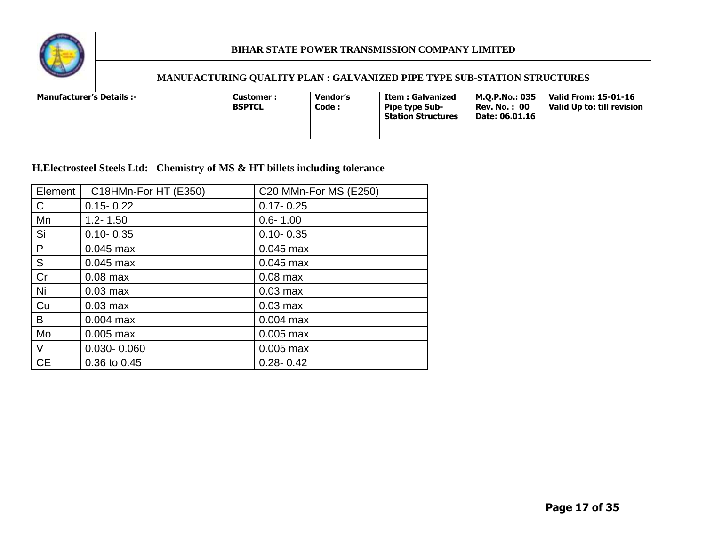

# **MANUFACTURING QUALITY PLAN : GALVANIZED PIPE TYPE SUB-STATION STRUCTURES**

| Valid From: 15-01-16<br>M.O.P.No.: 035<br><b>Manufacturer's Details :-</b><br>Item : Galvanized<br>Vendor's<br><b>Customer :</b><br>Code :<br>Valid Up to: till revision<br><b>BSPTCL</b><br><b>Rev. No. : 00</b><br><b>Pipe type Sub-</b><br><b>Station Structures</b><br>Date: 06.01.16 |
|-------------------------------------------------------------------------------------------------------------------------------------------------------------------------------------------------------------------------------------------------------------------------------------------|
|-------------------------------------------------------------------------------------------------------------------------------------------------------------------------------------------------------------------------------------------------------------------------------------------|

# **H.Electrosteel Steels Ltd: Chemistry of MS & HT billets including tolerance**

| Element   | C18HMn-For HT (E350) | C20 MMn-For MS (E250) |
|-----------|----------------------|-----------------------|
| C         | $0.15 - 0.22$        | $0.17 - 0.25$         |
| Mn        | $1.2 - 1.50$         | $0.6 - 1.00$          |
| Si        | $0.10 - 0.35$        | $0.10 - 0.35$         |
| P         | $0.045$ max          | $0.045$ max           |
| S         | $0.045$ max          | $0.045$ max           |
| Cr        | $0.08$ max           | $0.08$ max            |
| Ni        | $0.03$ max           | $0.03$ max            |
| Cu        | $0.03$ max           | $0.03$ max            |
| B         | $0.004$ max          | $0.004$ max           |
| Mo        | $0.005$ max          | $0.005$ max           |
| $\vee$    | $0.030 - 0.060$      | $0.005$ max           |
| <b>CE</b> | 0.36 to 0.45         | $0.28 - 0.42$         |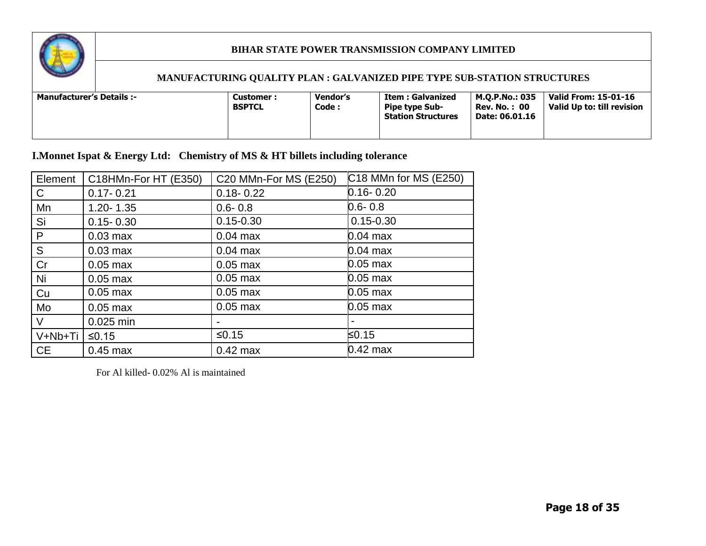

#### **MANUFACTURING QUALITY PLAN : GALVANIZED PIPE TYPE SUB-STATION STRUCTURES**

| Valid From: 15-01-16<br>M.O.P.No.: 035<br>Vendor's<br>-: Manufacturer's Details<br>Item : Galvanized<br>Customer :<br><b>BSPTCL</b><br>Code :<br>Valid Up to: till revision<br><b>Rev. No. : 00</b><br><b>Pipe type Sub-</b><br><b>Station Structures</b><br>Date: 06.01.16 |  |
|-----------------------------------------------------------------------------------------------------------------------------------------------------------------------------------------------------------------------------------------------------------------------------|--|
|-----------------------------------------------------------------------------------------------------------------------------------------------------------------------------------------------------------------------------------------------------------------------------|--|

**I.Monnet Ispat & Energy Ltd: Chemistry of MS & HT billets including tolerance** 

| Element      | C18HMn-For HT (E350) | C20 MMn-For MS (E250) | C18 MMn for MS (E250) |
|--------------|----------------------|-----------------------|-----------------------|
| $\mathsf{C}$ | $0.17 - 0.21$        | $0.18 - 0.22$         | $0.16 - 0.20$         |
| Mn           | $1.20 - 1.35$        | $0.6 - 0.8$           | $0.6 - 0.8$           |
| Si           | $0.15 - 0.30$        | $0.15 - 0.30$         | $0.15 - 0.30$         |
| P            | $0.03$ max           | $0.04$ max            | $0.04$ max            |
| S            | $0.03$ max           | $0.04$ max            | $0.04$ max            |
| Cr           | $0.05$ max           | $0.05$ max            | $0.05$ max            |
| Ni           | $0.05$ max           | $0.05$ max            | $0.05$ max            |
| Cu           | $0.05$ max           | $0.05$ max            | $0.05$ max            |
| Mo           | $0.05$ max           | $0.05$ max            | $0.05$ max            |
| $\vee$       | 0.025 min            |                       |                       |
| V+Nb+Ti      | $≤0.15$              | $≤0.15$               | ≤0.15                 |
| <b>CE</b>    | $0.45$ max           | $0.42$ max            | $0.42$ max            |

For Al killed- 0.02% Al is maintained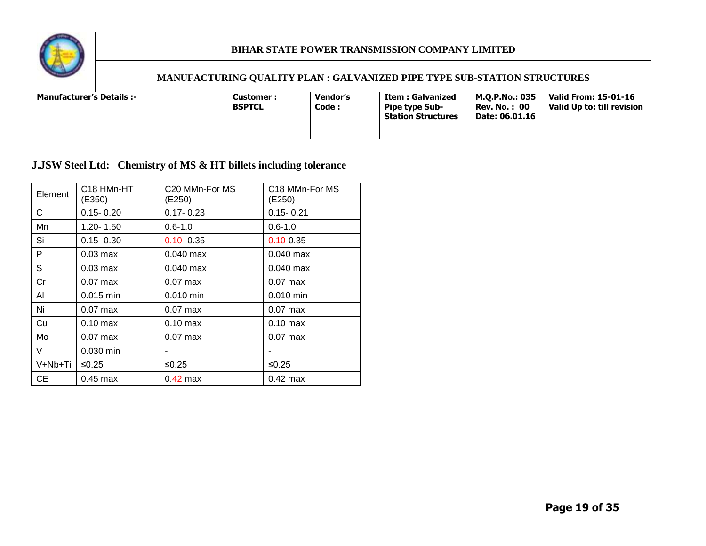

# **MANUFACTURING QUALITY PLAN : GALVANIZED PIPE TYPE SUB-STATION STRUCTURES**

| Code:<br><b>BSPTCL</b><br><b>Rev. No. : 00</b><br><b>Pipe type Sub-</b><br><b>Station Structures</b><br>Date: 06.01.16 | <b>Manufacturer's Details :-</b> | <b>Customer :</b> | Vendor's | <b>Item: Galvanized</b> | M.O.P.No.: 035 | Valid From: 15-01-16<br>Valid Up to: till revision |
|------------------------------------------------------------------------------------------------------------------------|----------------------------------|-------------------|----------|-------------------------|----------------|----------------------------------------------------|
|                                                                                                                        |                                  |                   |          |                         |                |                                                    |

# **J.JSW Steel Ltd: Chemistry of MS & HT billets including tolerance**

| Element | C <sub>18</sub> HM <sub>n</sub> -H <sub>T</sub><br>(E350) | C <sub>20</sub> MMn-For MS<br>(E250) | C18 MMn-For MS<br>(E250) |
|---------|-----------------------------------------------------------|--------------------------------------|--------------------------|
| C.      | $0.15 - 0.20$                                             | $0.17 - 0.23$                        | $0.15 - 0.21$            |
| Mn      | $1.20 - 1.50$                                             | $0.6 - 1.0$                          | $0.6 - 1.0$              |
| Si      | $0.15 - 0.30$                                             | $0.10 \cdot 0.35$                    | $0.10 - 0.35$            |
| P       | $0.03$ max                                                | $0.040$ max                          | $0.040$ max              |
| S       | $0.03$ max                                                | $0.040$ max                          | $0.040$ max              |
| Cr      | $0.07$ max                                                | $0.07$ max                           | $0.07$ max               |
| AI      | $0.015$ min                                               | 0.010 min                            | $0.010$ min              |
| Ni      | $0.07$ max                                                | $0.07$ max                           | $0.07$ max               |
| Cu      | $0.10 \text{ max}$                                        | $0.10 \text{ max}$                   | $0.10$ max               |
| Mo      | $0.07$ max                                                | $0.07$ max                           | $0.07$ max               |
| V       | $0.030$ min                                               | ۰                                    |                          |
| V+Nb+Ti | ≤0.25                                                     | ≤0.25                                | ≤ $0.25$                 |
| CE.     | $0.45$ max                                                | $0.42$ max                           | $0.42$ max               |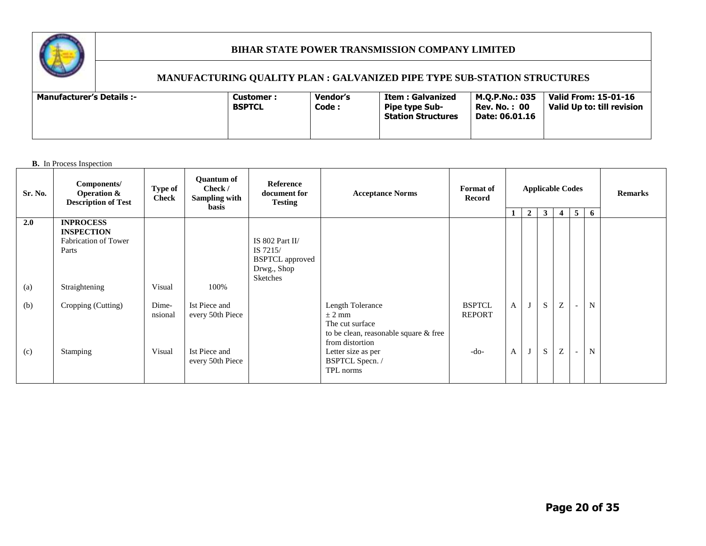

# **MANUFACTURING QUALITY PLAN : GALVANIZED PIPE TYPE SUB-STATION STRUCTURES**

| <b>Vendor's</b><br><b>Manufacturer's Details :-</b><br>Customer:<br>Code :<br><b>BSPTCL</b> | M.O.P.No.: 035<br>Item : Galvanized<br><b>Rev. No. : 00</b><br><b>Pipe type Sub-</b><br><b>Station Structures</b><br>Date: 06.01.16 | Valid From: 15-01-16<br>Valid Up to: till revision |
|---------------------------------------------------------------------------------------------|-------------------------------------------------------------------------------------------------------------------------------------|----------------------------------------------------|
|---------------------------------------------------------------------------------------------|-------------------------------------------------------------------------------------------------------------------------------------|----------------------------------------------------|

**B.** In Process Inspection

| Sr. No. | Components/<br><b>Operation &amp;</b><br><b>Description of Test</b>           | <b>Type of</b><br><b>Check</b> | <b>Ouantum of</b><br>Check /<br>Sampling with<br><b>basis</b> | <b>Reference</b><br>document for<br><b>Testing</b>                               | <b>Acceptance Norms</b>                                                                                       | <b>Format</b> of<br>Record     | 1.           | $\overline{2}$ | <b>Applicable Codes</b><br>$\mathbf{3}$ | 4 | 5      | 6           | <b>Remarks</b> |
|---------|-------------------------------------------------------------------------------|--------------------------------|---------------------------------------------------------------|----------------------------------------------------------------------------------|---------------------------------------------------------------------------------------------------------------|--------------------------------|--------------|----------------|-----------------------------------------|---|--------|-------------|----------------|
| 2.0     | <b>INPROCESS</b><br><b>INSPECTION</b><br><b>Fabrication of Tower</b><br>Parts |                                |                                                               | IS 802 Part II/<br>IS 7215/<br><b>BSPTCL</b> approved<br>Drwg., Shop<br>Sketches |                                                                                                               |                                |              |                |                                         |   |        |             |                |
| (a)     | Straightening                                                                 | Visual                         | 100%                                                          |                                                                                  |                                                                                                               |                                |              |                |                                         |   |        |             |                |
| (b)     | Cropping (Cutting)                                                            | Dime-<br>nsional               | Ist Piece and<br>every 50th Piece                             |                                                                                  | Length Tolerance<br>$\pm$ 2 mm<br>The cut surface<br>to be clean, reasonable square & free<br>from distortion | <b>BSPTCL</b><br><b>REPORT</b> | $\mathbf{A}$ |                | S                                       | Z | $\sim$ | $\mathbf N$ |                |
| (c)     | Stamping                                                                      | Visual                         | Ist Piece and<br>every 50th Piece                             |                                                                                  | Letter size as per<br>BSPTCL Specn. /<br>TPL norms                                                            | -do-                           | $\mathbf{A}$ |                | S                                       | Z | $\sim$ | $\mathbf N$ |                |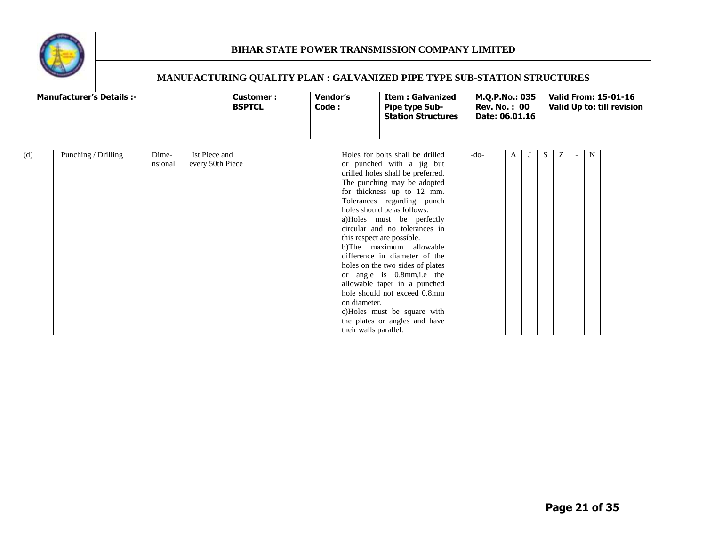

| <b>Manufacturer's Details :-</b> | Customer :<br><b>BSPTCL</b> | Vendor's<br>Code : | Item : Galvanized<br><b>Pipe type Sub-</b><br><b>Station Structures</b> | M.O.P.No.: 035<br><b>Rev. No.: 00</b><br>Date: 06.01.16 | Valid From: 15-01-16<br>Valid Up to: till revision |
|----------------------------------|-----------------------------|--------------------|-------------------------------------------------------------------------|---------------------------------------------------------|----------------------------------------------------|
|----------------------------------|-----------------------------|--------------------|-------------------------------------------------------------------------|---------------------------------------------------------|----------------------------------------------------|

| (d) | Punching / Drilling | Dime-   | Ist Piece and    | Holes for bolts shall be drilled  | -do- | A | эx, | Z | N |  |
|-----|---------------------|---------|------------------|-----------------------------------|------|---|-----|---|---|--|
|     |                     | nsional | every 50th Piece | or punched with a jig but         |      |   |     |   |   |  |
|     |                     |         |                  | drilled holes shall be preferred. |      |   |     |   |   |  |
|     |                     |         |                  | The punching may be adopted       |      |   |     |   |   |  |
|     |                     |         |                  | for thickness up to 12 mm.        |      |   |     |   |   |  |
|     |                     |         |                  | Tolerances regarding punch        |      |   |     |   |   |  |
|     |                     |         |                  | holes should be as follows:       |      |   |     |   |   |  |
|     |                     |         |                  | a)Holes must be perfectly         |      |   |     |   |   |  |
|     |                     |         |                  | circular and no tolerances in     |      |   |     |   |   |  |
|     |                     |         |                  | this respect are possible.        |      |   |     |   |   |  |
|     |                     |         |                  | b)The maximum allowable           |      |   |     |   |   |  |
|     |                     |         |                  | difference in diameter of the     |      |   |     |   |   |  |
|     |                     |         |                  | holes on the two sides of plates  |      |   |     |   |   |  |
|     |                     |         |                  | or angle is 0.8mm, i.e the        |      |   |     |   |   |  |
|     |                     |         |                  | allowable taper in a punched      |      |   |     |   |   |  |
|     |                     |         |                  | hole should not exceed 0.8mm      |      |   |     |   |   |  |
|     |                     |         |                  | on diameter.                      |      |   |     |   |   |  |
|     |                     |         |                  | c)Holes must be square with       |      |   |     |   |   |  |
|     |                     |         |                  | the plates or angles and have     |      |   |     |   |   |  |
|     |                     |         |                  | their walls parallel.             |      |   |     |   |   |  |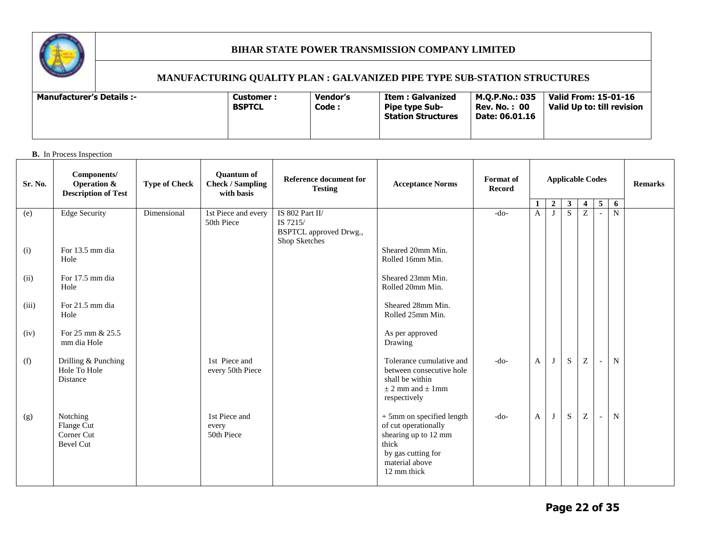

#### **MANUFACTURING QUALITY PLAN : GALVANIZED PIPE TYPE SUB-STATION STRUCTURES**

| <b>Vendor's</b><br><b>Manufacturer's Details :-</b><br><b>Customer :</b><br>Code :<br><b>BSPTCL</b> | M.O.P.No.: 035<br>Item : Galvanized<br><b>Rev. No. : 00</b><br><b>Pipe type Sub-</b><br>Date: 06.01.16<br><b>Station Structures</b> | Valid From: 15-01-16<br>Valid Up to: till revision |
|-----------------------------------------------------------------------------------------------------|-------------------------------------------------------------------------------------------------------------------------------------|----------------------------------------------------|
|-----------------------------------------------------------------------------------------------------|-------------------------------------------------------------------------------------------------------------------------------------|----------------------------------------------------|

#### **B.** In Process Inspection

| Sr. No. | Components/<br><b>Operation &amp;</b><br><b>Description of Test</b> | <b>Type of Check</b> | <b>Quantum of</b><br><b>Check / Sampling</b><br>with basis | Reference document for<br><b>Testing</b>                                      | <b>Acceptance Norms</b>                                                                                                                   | <b>Format</b> of<br>Record |              | <b>Applicable Codes</b><br>$\overline{2}$<br>$\mathbf{3}$<br>5<br>6<br>$\overline{4}$ |           |          |                          |                |  |  |  |  | <b>Remarks</b> |
|---------|---------------------------------------------------------------------|----------------------|------------------------------------------------------------|-------------------------------------------------------------------------------|-------------------------------------------------------------------------------------------------------------------------------------------|----------------------------|--------------|---------------------------------------------------------------------------------------|-----------|----------|--------------------------|----------------|--|--|--|--|----------------|
| (e)     | <b>Edge Security</b>                                                | Dimensional          | 1st Piece and every<br>50th Piece                          | IS 802 Part II/<br>IS 7215/<br><b>BSPTCL</b> approved Drwg.,<br>Shop Sketches |                                                                                                                                           | $-do-$                     | A            | J                                                                                     | ${\bf S}$ | Z        | $\blacksquare$           | $\overline{N}$ |  |  |  |  |                |
| (i)     | For 13.5 mm dia<br>Hole                                             |                      |                                                            |                                                                               | Sheared 20mm Min.<br>Rolled 16mm Min.                                                                                                     |                            |              |                                                                                       |           |          |                          |                |  |  |  |  |                |
| (ii)    | For 17.5 mm dia<br>Hole                                             |                      |                                                            |                                                                               | Sheared 23mm Min.<br>Rolled 20mm Min.                                                                                                     |                            |              |                                                                                       |           |          |                          |                |  |  |  |  |                |
| (iii)   | For 21.5 mm dia<br>Hole                                             |                      |                                                            |                                                                               | Sheared 28mm Min.<br>Rolled 25mm Min.                                                                                                     |                            |              |                                                                                       |           |          |                          |                |  |  |  |  |                |
| (iv)    | For 25 mm & 25.5<br>mm dia Hole                                     |                      |                                                            |                                                                               | As per approved<br>Drawing                                                                                                                |                            |              |                                                                                       |           |          |                          |                |  |  |  |  |                |
| (f)     | Drilling & Punching<br>Hole To Hole<br>Distance                     |                      | 1st Piece and<br>every 50th Piece                          |                                                                               | Tolerance cumulative and<br>between consecutive hole<br>shall be within<br>$\pm$ 2 mm and $\pm$ 1 mm<br>respectively                      | $-do-$                     | $\mathbf{A}$ | J                                                                                     | S         | $\rm{Z}$ | $\blacksquare$           | $\mathbf N$    |  |  |  |  |                |
| (g)     | Notching<br>Flange Cut<br>Corner Cut<br>Bevel Cut                   |                      | 1st Piece and<br>every<br>50th Piece                       |                                                                               | + 5mm on specified length<br>of cut operationally<br>shearing up to 12 mm<br>thick<br>by gas cutting for<br>material above<br>12 mm thick | $-do-$                     | $\mathbf{A}$ | J                                                                                     | S         | Z        | $\overline{\phantom{a}}$ | $\mathbf N$    |  |  |  |  |                |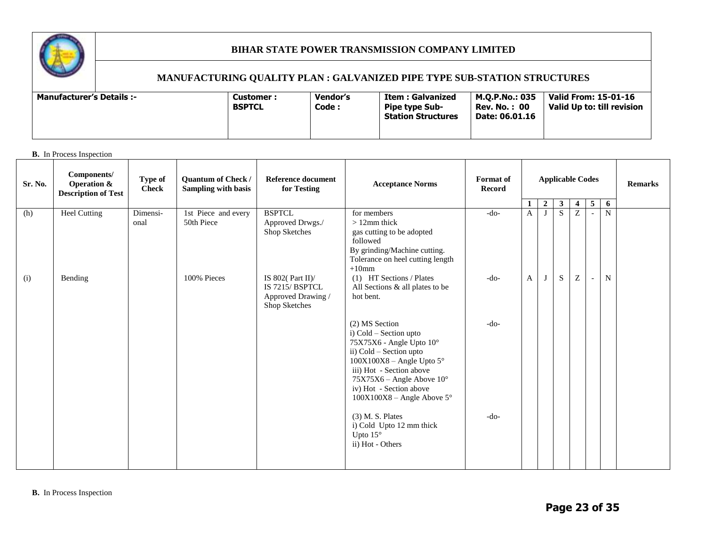

#### **MANUFACTURING QUALITY PLAN : GALVANIZED PIPE TYPE SUB-STATION STRUCTURES**

#### **B.** In Process Inspection

| Sr. No. | Components/<br><b>Operation &amp;</b><br><b>Description of Test</b> | <b>Type of</b><br><b>Check</b> | <b>Quantum of Check /</b><br>Sampling with basis<br>1st Piece and every | Reference document<br>for Testing                                            | <b>Acceptance Norms</b>                                                                                                                                                                                                                                                                                                                                     | <b>Format</b> of<br><b>Record</b> | <b>Applicable Codes</b> |                     |                    |                      | <b>Remarks</b>           |        |  |
|---------|---------------------------------------------------------------------|--------------------------------|-------------------------------------------------------------------------|------------------------------------------------------------------------------|-------------------------------------------------------------------------------------------------------------------------------------------------------------------------------------------------------------------------------------------------------------------------------------------------------------------------------------------------------------|-----------------------------------|-------------------------|---------------------|--------------------|----------------------|--------------------------|--------|--|
|         |                                                                     |                                |                                                                         | <b>BSPTCL</b>                                                                | for members                                                                                                                                                                                                                                                                                                                                                 |                                   | $\mathbf{1}$            | $\overline{2}$<br>J | $\mathbf{3}$<br>S. | $\vert 4 \vert$<br>Z | $\overline{5}$           | 6<br>N |  |
| (h)     | <b>Heel Cutting</b>                                                 | Dimensi-<br>onal               | 50th Piece                                                              | Approved Drwgs./<br>Shop Sketches                                            | $>12$ mm thick<br>gas cutting to be adopted<br>followed<br>By grinding/Machine cutting.<br>Tolerance on heel cutting length<br>$+10$ mm                                                                                                                                                                                                                     | $-do-$                            | A                       |                     |                    |                      | $\overline{\phantom{a}}$ |        |  |
| (i)     | Bending                                                             |                                | 100% Pieces                                                             | IS 802( $Part II$ )<br>IS 7215/BSPTCL<br>Approved Drawing /<br>Shop Sketches | (1) HT Sections / Plates<br>All Sections & all plates to be<br>hot bent.                                                                                                                                                                                                                                                                                    | $-do-$                            | $\mathbf{A}$            | J                   | S.                 | Z                    | $\overline{\phantom{a}}$ | N      |  |
|         |                                                                     |                                |                                                                         |                                                                              | (2) MS Section<br>i) Cold - Section upto<br>75X75X6 - Angle Upto 10°<br>ii) Cold - Section upto<br>$100X100X8 - Angle Upto 5^\circ$<br>iii) Hot - Section above<br>$75X75X6$ – Angle Above $10^{\circ}$<br>iv) Hot - Section above<br>$100X100X8$ – Angle Above 5°<br>$(3)$ M. S. Plates<br>i) Cold Upto 12 mm thick<br>Upto $15^\circ$<br>ii) Hot - Others | $-do-$<br>$-do-$                  |                         |                     |                    |                      |                          |        |  |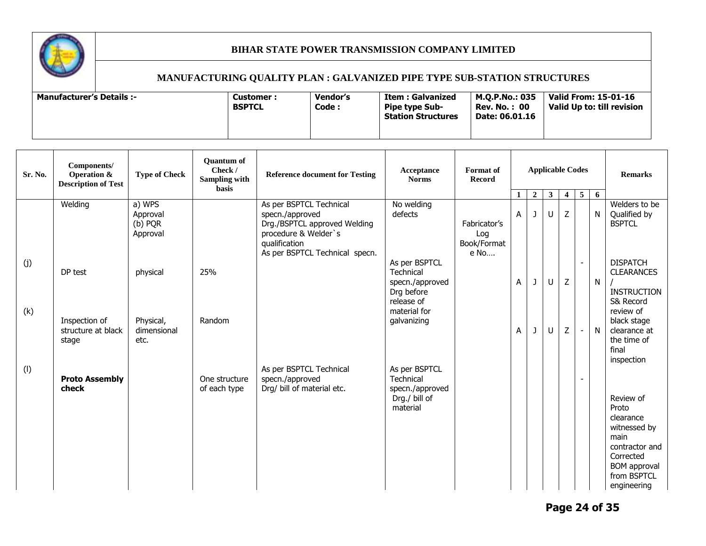

| Sr. No.    | Components/<br>Operation &<br><b>Description of Test</b> | <b>Type of Check</b>                      | <b>Quantum of</b><br>Check /<br>Sampling with<br>basis | <b>Reference document for Testing</b>                                                                                                                 | Acceptance<br><b>Norms</b>                                                                | Format of<br><b>Record</b>                 |   | <b>Applicable Codes</b> |              |                         |                          |              |                                                                                                                                             |  |  |  |  |  |  |  |  |  |  | <b>Remarks</b> |
|------------|----------------------------------------------------------|-------------------------------------------|--------------------------------------------------------|-------------------------------------------------------------------------------------------------------------------------------------------------------|-------------------------------------------------------------------------------------------|--------------------------------------------|---|-------------------------|--------------|-------------------------|--------------------------|--------------|---------------------------------------------------------------------------------------------------------------------------------------------|--|--|--|--|--|--|--|--|--|--|----------------|
|            |                                                          |                                           |                                                        |                                                                                                                                                       |                                                                                           |                                            |   | $\boldsymbol{2}$        | $\mathbf{3}$ | $\overline{\mathbf{4}}$ | $5\overline{)}$          | 6            |                                                                                                                                             |  |  |  |  |  |  |  |  |  |  |                |
|            | Welding                                                  | a) WPS<br>Approval<br>(b) PQR<br>Approval |                                                        | As per BSPTCL Technical<br>specn./approved<br>Drg./BSPTCL approved Welding<br>procedure & Welder's<br>qualification<br>As per BSPTCL Technical specn. | No welding<br>defects                                                                     | Fabricator's<br>Log<br>Book/Format<br>e No | A | J                       | U            | Z                       |                          | $\mathsf{N}$ | Welders to be<br>Qualified by<br><b>BSPTCL</b>                                                                                              |  |  |  |  |  |  |  |  |  |  |                |
| (j)<br>(k) | DP test                                                  | physical                                  | 25%                                                    |                                                                                                                                                       | As per BSPTCL<br>Technical<br>specn./approved<br>Drg before<br>release of<br>material for |                                            | A | J                       | U            | Z                       | $\overline{\phantom{a}}$ | $\mathsf{N}$ | <b>DISPATCH</b><br><b>CLEARANCES</b><br><b>INSTRUCTION</b><br>S& Record<br>review of                                                        |  |  |  |  |  |  |  |  |  |  |                |
|            | Inspection of<br>structure at black<br>stage             | Physical,<br>dimensional<br>etc.          | Random                                                 |                                                                                                                                                       | galvanizing                                                                               |                                            | A | J                       | $\cup$       | Z                       | $\overline{\phantom{a}}$ | N            | black stage<br>clearance at<br>the time of<br>final<br>inspection                                                                           |  |  |  |  |  |  |  |  |  |  |                |
| $($ l $)$  | <b>Proto Assembly</b><br>check                           |                                           | One structure<br>of each type                          | As per BSPTCL Technical<br>specn./approved<br>Drg/ bill of material etc.                                                                              | As per BSPTCL<br>Technical<br>specn./approved<br>Drg./ bill of<br>material                |                                            |   |                         |              |                         |                          |              | Review of<br>Proto<br>clearance<br>witnessed by<br>main<br>contractor and<br>Corrected<br><b>BOM</b> approval<br>from BSPTCL<br>engineering |  |  |  |  |  |  |  |  |  |  |                |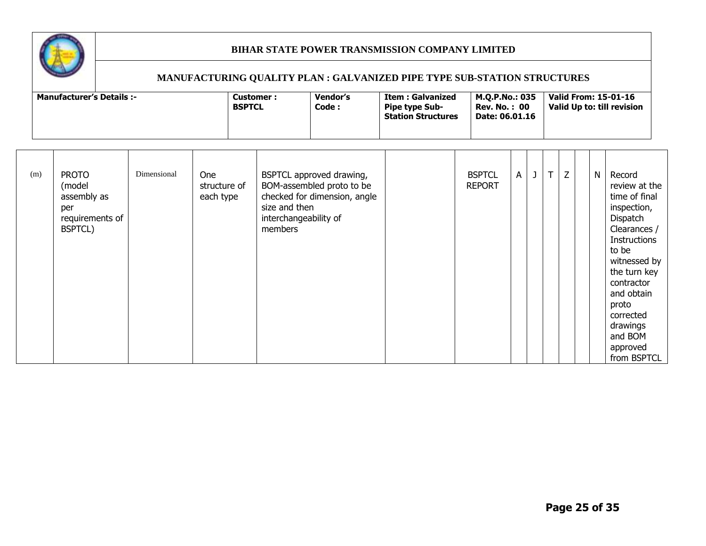

| <b>Manufacturer's Details :-</b> | Customer:<br><b>BSPTCL</b> | <b>Vendor's</b><br>Code : | Item : Galvanized<br><b>Pipe type Sub-</b><br><b>Station Structures</b> | M.O.P.No.: 035<br><b>Rev. No. : 00</b><br>Date: 06.01.16 | Valid From: 15-01-16<br>Valid Up to: till revision |
|----------------------------------|----------------------------|---------------------------|-------------------------------------------------------------------------|----------------------------------------------------------|----------------------------------------------------|
|----------------------------------|----------------------------|---------------------------|-------------------------------------------------------------------------|----------------------------------------------------------|----------------------------------------------------|

| (m) | <b>PROTO</b><br>(model<br>assembly as<br>per<br>requirements of<br>BSPTCL) | Dimensional | <b>One</b><br>structure of<br>each type | BSPTCL approved drawing,<br>BOM-assembled proto to be<br>checked for dimension, angle<br>size and then<br>interchangeability of<br>members |  | <b>BSPTCL</b><br><b>REPORT</b> | $\mathsf{A}$ | J | $\mathsf{T}$ | Z |  | $\mathsf{N}$ | Record<br>review at the<br>time of final<br>inspection,<br>Dispatch<br>Clearances /<br><b>Instructions</b><br>to be<br>witnessed by<br>the turn key<br>contractor<br>and obtain<br>proto<br>corrected<br>drawings<br>and BOM<br>approved<br>from BSPTCL |
|-----|----------------------------------------------------------------------------|-------------|-----------------------------------------|--------------------------------------------------------------------------------------------------------------------------------------------|--|--------------------------------|--------------|---|--------------|---|--|--------------|---------------------------------------------------------------------------------------------------------------------------------------------------------------------------------------------------------------------------------------------------------|
|-----|----------------------------------------------------------------------------|-------------|-----------------------------------------|--------------------------------------------------------------------------------------------------------------------------------------------|--|--------------------------------|--------------|---|--------------|---|--|--------------|---------------------------------------------------------------------------------------------------------------------------------------------------------------------------------------------------------------------------------------------------------|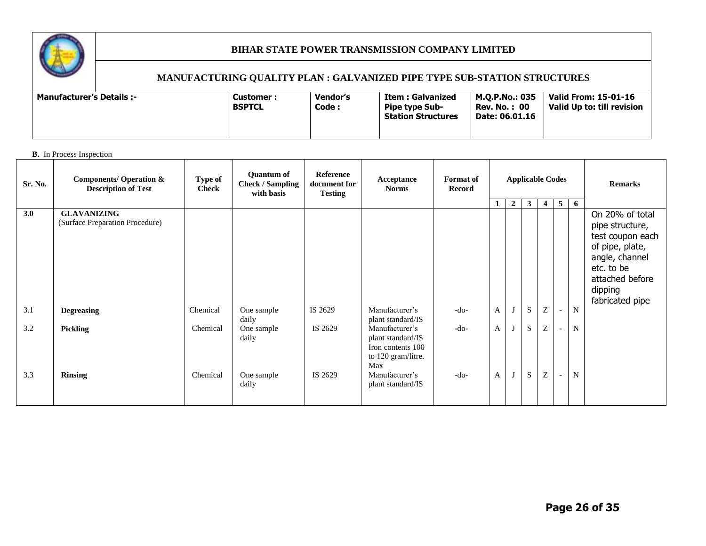

#### **MANUFACTURING QUALITY PLAN : GALVANIZED PIPE TYPE SUB-STATION STRUCTURES**

#### **B.** In Process Inspection

| Sr. No.    | <b>Components/ Operation &amp;</b><br><b>Description of Test</b> | Type of<br><b>Check</b> | <b>Quantum of</b><br><b>Check / Sampling</b><br>with basis | Reference<br>document for<br><b>Testing</b> | Acceptance<br><b>Norms</b>                                                                                                   | Format of<br>Record | <b>Applicable Codes</b>      |              |                |                |                          |        | <b>Remarks</b>                                                                                                                                             |
|------------|------------------------------------------------------------------|-------------------------|------------------------------------------------------------|---------------------------------------------|------------------------------------------------------------------------------------------------------------------------------|---------------------|------------------------------|--------------|----------------|----------------|--------------------------|--------|------------------------------------------------------------------------------------------------------------------------------------------------------------|
| 3.0        | <b>GLAVANIZING</b><br>(Surface Preparation Procedure)            |                         |                                                            |                                             |                                                                                                                              |                     | 1                            | $\mathbf{2}$ | 3 <sup>1</sup> | $\overline{4}$ | 5 <sup>1</sup>           | -6     | On 20% of total<br>pipe structure,<br>test coupon each<br>of pipe, plate,<br>angle, channel<br>etc. to be<br>attached before<br>dipping<br>fabricated pipe |
| 3.1        | <b>Degreasing</b>                                                | Chemical                | One sample<br>daily                                        | IS 2629                                     | Manufacturer's<br>plant standard/IS                                                                                          | $-do-$              | $\mathbf{A}$                 | J            | S              | $\mathbf Z$    | $\sim$                   | N      |                                                                                                                                                            |
| 3.2<br>3.3 | <b>Pickling</b><br><b>Rinsing</b>                                | Chemical<br>Chemical    | One sample<br>daily<br>One sample<br>daily                 | IS 2629<br>IS 2629                          | Manufacturer's<br>plant standard/IS<br>Iron contents 100<br>to 120 gram/litre.<br>Max<br>Manufacturer's<br>plant standard/IS | $-do-$<br>$-do-$    | $\mathbf{A}$<br>$\mathbf{A}$ | J<br>J       | S<br>S         | Z<br>Z         | $\overline{\phantom{a}}$ | N<br>N |                                                                                                                                                            |
|            |                                                                  |                         |                                                            |                                             |                                                                                                                              |                     |                              |              |                |                |                          |        |                                                                                                                                                            |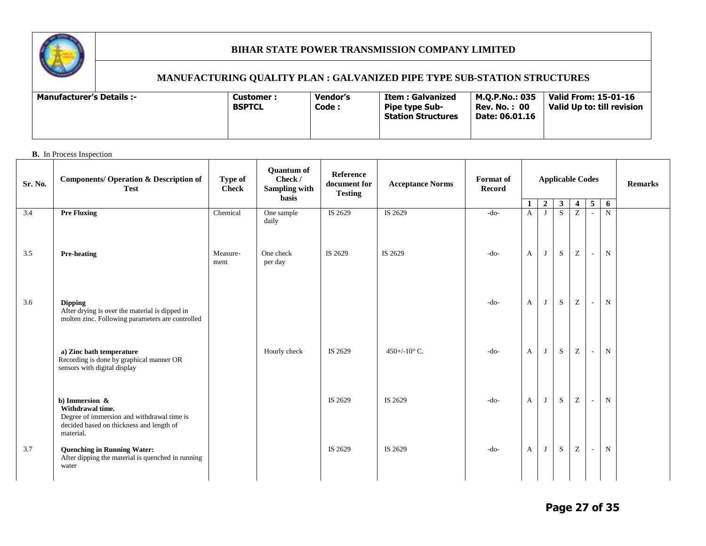

#### **MANUFACTURING QUALITY PLAN : GALVANIZED PIPE TYPE SUB-STATION STRUCTURES**

| Vendor's<br><b>Manufacturer's Details :-</b><br>Customer:<br><b>BSPTCL</b><br>Code: | <b>Valid From: 15-01-16</b><br>M.O.P.No.: 035<br>Item : Galvanized<br><b>Rev. No. : 00</b><br>Valid Up to: till revision<br><b>Pipe type Sub-</b><br>Date: 06.01.16<br><b>Station Structures</b> |
|-------------------------------------------------------------------------------------|--------------------------------------------------------------------------------------------------------------------------------------------------------------------------------------------------|
|-------------------------------------------------------------------------------------|--------------------------------------------------------------------------------------------------------------------------------------------------------------------------------------------------|

#### **B.** In Process Inspection

| Sr. No. | <b>Components/ Operation &amp; Description of</b><br><b>Test</b>                                                                             | Type of<br><b>Check</b> | <b>Quantum of</b><br>Check /<br>Sampling with<br><b>basis</b> | Reference<br>document for<br><b>Testing</b> | <b>Acceptance Norms</b> | Format of<br><b>Record</b> | -1           | $\boldsymbol{2}$ | <b>Applicable Codes</b><br>$\mathbf{3}$ | <b>Remarks</b>                                        |                          |                  |  |
|---------|----------------------------------------------------------------------------------------------------------------------------------------------|-------------------------|---------------------------------------------------------------|---------------------------------------------|-------------------------|----------------------------|--------------|------------------|-----------------------------------------|-------------------------------------------------------|--------------------------|------------------|--|
| 3.4     | <b>Pre Fluxing</b>                                                                                                                           | Chemical                | One sample<br>daily                                           | IS 2629                                     | IS 2629                 | $-do-$                     | $\mathbf{A}$ | J                | S                                       | $\overline{4}$<br>Z                                   | 5 <sup>1</sup><br>$\sim$ | 6<br>$\mathbf N$ |  |
| 3.5     | <b>Pre-heating</b>                                                                                                                           | Measure-<br>ment        | One check<br>per day                                          | IS 2629                                     | IS 2629                 | $-do-$                     | A            | J                | S                                       | $\mathbf{Z}% ^{T}=\mathbf{Z}^{T}\times\mathbf{Z}^{T}$ | $\overline{\phantom{a}}$ | $\mathbf N$      |  |
| 3.6     | <b>Dipping</b><br>After drying is over the material is dipped in<br>molten zinc. Following parameters are controlled                         |                         |                                                               |                                             |                         | $-do-$                     | $\mathbf{A}$ | J                | S                                       | $\mathbf{Z}% ^{T}=\mathbf{Z}^{T}\times\mathbf{Z}^{T}$ | $\sim$                   | $\mathbf N$      |  |
|         | a) Zinc bath temperature<br>Recording is done by graphical manner OR<br>sensors with digital display                                         |                         | Hourly check                                                  | IS 2629                                     | 450+/-10 $^{\circ}$ C.  | $-do-$                     | A            | J                | ${\bf S}$                               | $\mathbf Z$                                           | $\sim$                   | ${\bf N}$        |  |
|         | b) Immersion $\&$<br>Withdrawal time.<br>Degree of immersion and withdrawal time is<br>decided based on thickness and length of<br>material. |                         |                                                               | IS 2629                                     | IS 2629                 | $-do-$                     | A            | J                | S                                       | $\mathbf Z$                                           | $\sim$                   | ${\bf N}$        |  |
| 3.7     | <b>Quenching in Running Water:</b><br>After dipping the material is quenched in running<br>water                                             |                         |                                                               | IS 2629                                     | IS 2629                 | $-do-$                     | $\mathbf{A}$ | $\mathbf{J}$     | S                                       | $\mathbf Z$                                           | $\sim$                   | $\mathbf N$      |  |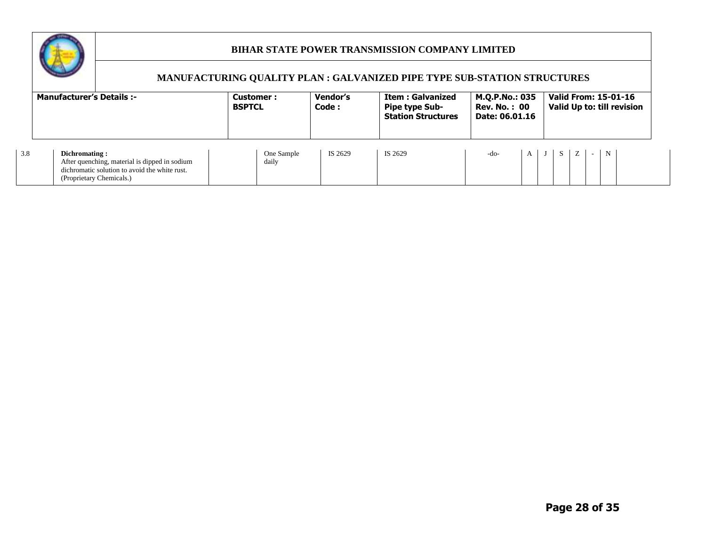

|     | <b>Manufacturer's Details:-</b>                                                                                                             | Customer:<br><b>BSPTCL</b> | Vendor's<br>Code : | <b>Item : Galvanized</b><br><b>Pipe type Sub-</b><br><b>Station Structures</b> | M.Q.P.No.: 035<br><b>Rev. No.: 00</b><br>Date: 06.01.16 | <b>Valid From: 15-01-16</b><br>Valid Up to: till revision |  |  |  |  |  |
|-----|---------------------------------------------------------------------------------------------------------------------------------------------|----------------------------|--------------------|--------------------------------------------------------------------------------|---------------------------------------------------------|-----------------------------------------------------------|--|--|--|--|--|
| 3.8 | Dichromating:<br>After quenching, material is dipped in sodium<br>dichromatic solution to avoid the white rust.<br>(Proprietary Chemicals.) | One Sample<br>daily        | IS 2629            | IS 2629                                                                        | $\mathbf{A}$<br>-do-                                    | $\mathbf N$<br>S I                                        |  |  |  |  |  |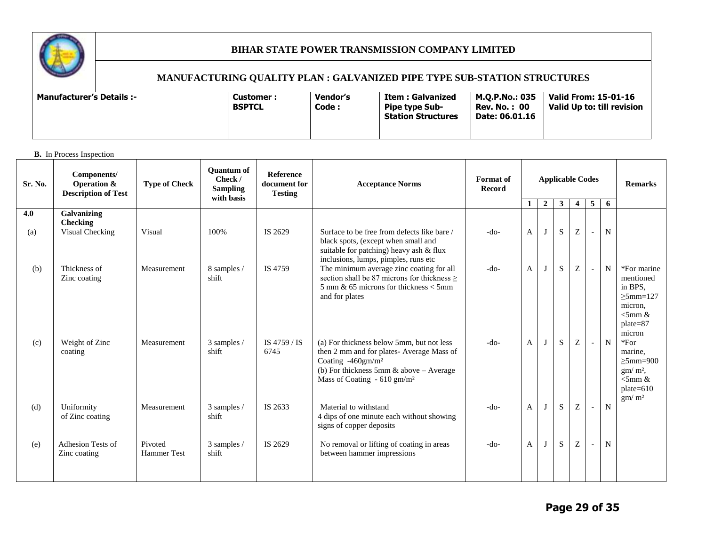

# **MANUFACTURING QUALITY PLAN : GALVANIZED PIPE TYPE SUB-STATION STRUCTURES**

| M.O.P.No.: 035<br>Vendor's<br>Item : Galvanized<br>-: Manufacturer's Details<br><b>Customer :</b><br>Code:<br><b>BSPTCL</b><br><b>Rev. No. : 00</b><br><b>Pipe type Sub-</b><br><b>Station Structures</b><br>Date: 06.01.16 | Valid From: 15-01-16<br>Valid Up to: till revision |
|-----------------------------------------------------------------------------------------------------------------------------------------------------------------------------------------------------------------------------|----------------------------------------------------|
|-----------------------------------------------------------------------------------------------------------------------------------------------------------------------------------------------------------------------------|----------------------------------------------------|

#### **B.** In Process Inspection

| Sr. No. | Components/<br><b>Operation &amp;</b><br><b>Description of Test</b> | <b>Type of Check</b>          | <b>Ouantum of</b><br>Check /<br><b>Sampling</b><br>with basis | <b>Reference</b><br>document for<br><b>Testing</b> | <b>Acceptance Norms</b>                                                                                                                                                                                          | <b>Format</b> of<br><b>Record</b> | <b>Applicable Codes</b> |              |             |                  | <b>Remarks</b>           |             |                                                                                                            |
|---------|---------------------------------------------------------------------|-------------------------------|---------------------------------------------------------------|----------------------------------------------------|------------------------------------------------------------------------------------------------------------------------------------------------------------------------------------------------------------------|-----------------------------------|-------------------------|--------------|-------------|------------------|--------------------------|-------------|------------------------------------------------------------------------------------------------------------|
|         |                                                                     |                               |                                                               |                                                    |                                                                                                                                                                                                                  |                                   | $\mathbf{1}$            | $2\sqrt{ }$  | 3           | $\overline{4}$   | 5                        | 6           |                                                                                                            |
| 4.0     | Galvanizing<br><b>Checking</b>                                      |                               | 100%                                                          |                                                    |                                                                                                                                                                                                                  | $-do-$                            |                         | $\mathbf{J}$ | S           |                  |                          |             |                                                                                                            |
| (a)     | Visual Checking                                                     | Visual                        |                                                               | IS 2629                                            | Surface to be free from defects like bare /<br>black spots, (except when small and<br>suitable for patching) heavy ash & flux<br>inclusions, lumps, pimples, runs etc                                            |                                   | $\mathbf{A}$            |              |             | $\boldsymbol{Z}$ | $\overline{\phantom{a}}$ | N           |                                                                                                            |
| (b)     | Thickness of<br>Zinc coating                                        | Measurement                   | 8 samples /<br>shift                                          | IS 4759                                            | The minimum average zinc coating for all<br>section shall be 87 microns for thickness ><br>$5 \text{ mm}$ & 65 microns for thickness $<$ 5mm<br>and for plates                                                   | $-do-$                            | $\mathbf{A}$            | J            | S           | Z                | $\sim$                   | N           | *For marine<br>mentioned<br>in BPS,<br>$\geq$ 5mm=127<br>micron,<br>$\leq$ 5mm &<br>$plate = 87$<br>micron |
| (c)     | Weight of Zinc<br>coating                                           | Measurement                   | 3 samples /<br>shift                                          | IS 4759 / IS<br>6745                               | (a) For thickness below 5mm, but not less<br>then 2 mm and for plates-Average Mass of<br>Coating -460gm/m <sup>2</sup><br>(b) For thickness 5mm $\&$ above - Average<br>Mass of Coating $-610$ gm/m <sup>2</sup> | $-do-$                            | A                       | J            | $\mathbf S$ | Z                | $\overline{\phantom{a}}$ | $\mathbf N$ | $*For$<br>marine.<br>$\geq$ 5mm=900<br>$gm/m2$ ,<br>$<$ 5mm &<br>$plate=610$<br>gm/m <sup>2</sup>          |
| (d)     | Uniformity<br>of Zinc coating                                       | Measurement                   | 3 samples /<br>shift                                          | IS 2633                                            | Material to withstand<br>4 dips of one minute each without showing<br>signs of copper deposits                                                                                                                   | $-do-$                            | $\mathbf{A}$            | J            | ${\bf S}$   | Z                | $\blacksquare$           | N           |                                                                                                            |
| (e)     | Adhesion Tests of<br>Zinc coating                                   | Pivoted<br><b>Hammer Test</b> | 3 samples /<br>shift                                          | IS 2629                                            | No removal or lifting of coating in areas<br>between hammer impressions                                                                                                                                          | $-do-$                            | A                       | J            | S           | Z                | $\blacksquare$           | N           |                                                                                                            |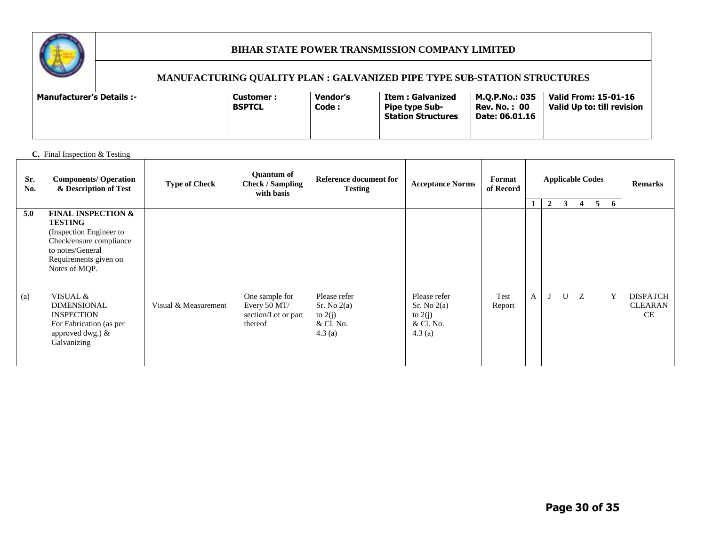

#### **MANUFACTURING QUALITY PLAN : GALVANIZED PIPE TYPE SUB-STATION STRUCTURES**

| M.O.P.No.: 035<br><b>Vendor's</b><br><b>Manufacturer's Details :-</b><br>Item : Galvanized<br><b>Customer :</b><br>Code :<br><b>BSPTCL</b><br><b>Rev. No. : 00</b><br><b>Pipe type Sub-</b><br><b>Station Structures</b><br>Date: 06.01.16 | Valid From: 15-01-16<br>Valid Up to: till revision |
|--------------------------------------------------------------------------------------------------------------------------------------------------------------------------------------------------------------------------------------------|----------------------------------------------------|
|--------------------------------------------------------------------------------------------------------------------------------------------------------------------------------------------------------------------------------------------|----------------------------------------------------|

#### **C.** Final Inspection & Testing

| Sr.<br>No.               | <b>Components/ Operation</b><br>& Description of Test                                                                                                                           | <b>Type of Check</b> | <b>Quantum of</b><br><b>Check / Sampling</b><br>with basis | Reference document for<br><b>Testing</b>        | <b>Acceptance Norms</b>                         | Format<br>of Record |   |                | <b>Applicable Codes</b> | <b>Remarks</b> |       |   |                             |
|--------------------------|---------------------------------------------------------------------------------------------------------------------------------------------------------------------------------|----------------------|------------------------------------------------------------|-------------------------------------------------|-------------------------------------------------|---------------------|---|----------------|-------------------------|----------------|-------|---|-----------------------------|
|                          |                                                                                                                                                                                 |                      |                                                            |                                                 |                                                 |                     |   | $\overline{2}$ | $\mathbf{3}$            | $\overline{4}$ | $5-5$ | 6 |                             |
| 5.0<br>$\left( a\right)$ | <b>FINAL INSPECTION &amp;</b><br><b>TESTING</b><br>(Inspection Engineer to<br>Check/ensure compliance<br>to notes/General<br>Requirements given on<br>Notes of MQP.<br>VISUAL & |                      | One sample for                                             | Please refer                                    | Please refer                                    | Test                | A |                | $\mathbf{U}$            | Z              |       | Y | <b>DISPATCH</b>             |
|                          | <b>DIMENSIONAL</b><br><b>INSPECTION</b><br>For Fabrication (as per<br>approved dwg.) $&$<br>Galvanizing                                                                         | Visual & Measurement | Every 50 MT/<br>section/Lot or part<br>thereof             | Sr. No 2(a)<br>to $2(i)$<br>& Cl. No.<br>4.3(a) | Sr. No 2(a)<br>to $2(j)$<br>& Cl. No.<br>4.3(a) | Report              |   |                |                         |                |       |   | <b>CLEARAN</b><br><b>CE</b> |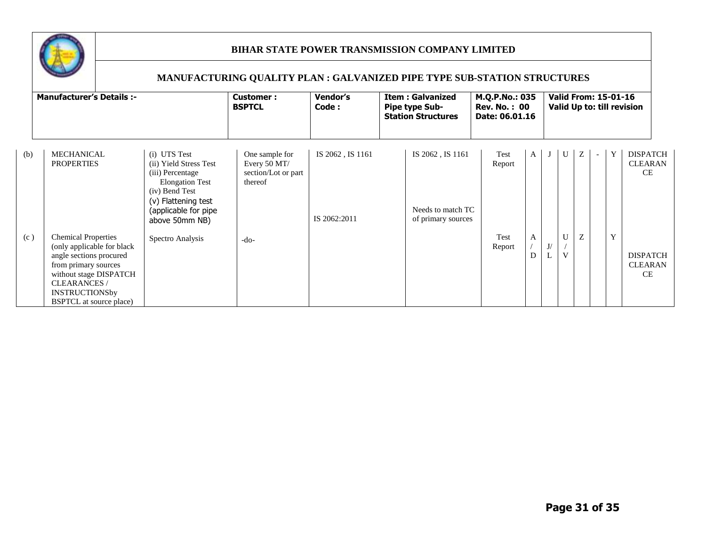

|     | <b>Manufacturer's Details :-</b>                                                                                                                                                                                        | Vendor's<br>Customer:<br>Code:<br><b>BSPTCL</b>                                                                                                                         |                                                                  |                                  | <b>Item: Galvanized</b><br><b>Pipe type Sub-</b><br><b>Station Structures</b> | M.Q.P.No.: 035<br><b>Rev. No.: 00</b><br>Date: 06.01.16 | <b>Valid From: 15-01-16</b><br>Valid Up to: till revision |                   |   |             |                                                |  |  |
|-----|-------------------------------------------------------------------------------------------------------------------------------------------------------------------------------------------------------------------------|-------------------------------------------------------------------------------------------------------------------------------------------------------------------------|------------------------------------------------------------------|----------------------------------|-------------------------------------------------------------------------------|---------------------------------------------------------|-----------------------------------------------------------|-------------------|---|-------------|------------------------------------------------|--|--|
| (b) | <b>MECHANICAL</b><br><b>PROPERTIES</b>                                                                                                                                                                                  | (i) UTS Test<br>(ii) Yield Stress Test<br>(iii) Percentage<br><b>Elongation Test</b><br>(iv) Bend Test<br>(v) Flattening test<br>(applicable for pipe<br>above 50mm NB) | One sample for<br>Every 50 MT/<br>section/Lot or part<br>thereof | IS 2062, IS 1161<br>IS 2062:2011 | IS 2062, IS 1161<br>Needs to match TC<br>of primary sources                   | Test<br>$\mathbf{A}$<br>Report                          |                                                           | U                 | Ζ | Y<br>$\sim$ | <b>DISPATCH</b><br><b>CLEARAN</b><br><b>CE</b> |  |  |
| (c) | <b>Chemical Properties</b><br>(only applicable for black<br>angle sections procured<br>from primary sources<br>without stage DISPATCH<br><b>CLEARANCES</b> /<br><b>INSTRUCTIONSby</b><br><b>BSPTCL</b> at source place) | Spectro Analysis                                                                                                                                                        | $-do-$                                                           |                                  |                                                                               | Test<br>А<br>Report                                     | J/                                                        | U<br>$\mathbf{V}$ | Z | Y           | <b>DISPATCH</b><br><b>CLEARAN</b><br>CE.       |  |  |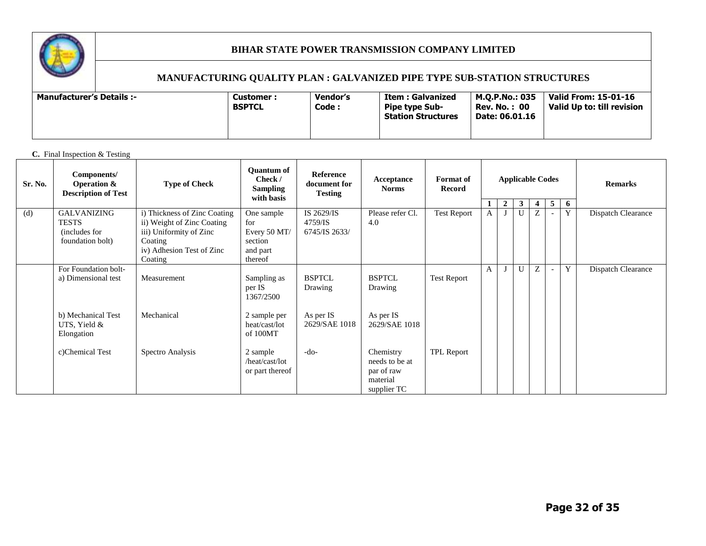

#### **MANUFACTURING QUALITY PLAN : GALVANIZED PIPE TYPE SUB-STATION STRUCTURES**

| <b>Manufacturer's Details :-</b> | Customer:<br><b>BSPTCL</b> | Vendor's<br>Code : | Item : Galvanized<br><b>Pipe type Sub-</b><br><b>Station Structures</b> | M.O.P.No.: 035<br><b>Rev. No. : 00</b><br>Date: 06.01.16 | <b>Valid From: 15-01-16</b><br>Valid Up to: till revision |
|----------------------------------|----------------------------|--------------------|-------------------------------------------------------------------------|----------------------------------------------------------|-----------------------------------------------------------|
|----------------------------------|----------------------------|--------------------|-------------------------------------------------------------------------|----------------------------------------------------------|-----------------------------------------------------------|

#### **C.** Final Inspection & Testing

| Sr. No. | Components/<br><b>Operation &amp;</b><br><b>Description of Test</b>     | <b>Type of Check</b>                                                                                                                     | <b>Quantum of</b><br>Check /<br><b>Sampling</b><br>with basis       | Reference<br>document for<br><b>Testing</b> | Acceptance<br><b>Norms</b>                                           | <b>Format of</b><br>Record |              | <b>Applicable Codes</b> |                                                                      |   |  |   | <b>Remarks</b>     |
|---------|-------------------------------------------------------------------------|------------------------------------------------------------------------------------------------------------------------------------------|---------------------------------------------------------------------|---------------------------------------------|----------------------------------------------------------------------|----------------------------|--------------|-------------------------|----------------------------------------------------------------------|---|--|---|--------------------|
|         |                                                                         |                                                                                                                                          |                                                                     |                                             |                                                                      |                            | 1            |                         | $5^{\circ}$<br>$\overline{2}$<br>$\mathbf{3}$<br>6<br>$\overline{4}$ |   |  |   |                    |
| (d)     | <b>GALVANIZING</b><br><b>TESTS</b><br>(includes for<br>foundation bolt) | i) Thickness of Zinc Coating<br>ii) Weight of Zinc Coating<br>iii) Uniformity of Zinc<br>Coating<br>iv) Adhesion Test of Zinc<br>Coating | One sample<br>for<br>Every 50 MT/<br>section<br>and part<br>thereof | IS 2629/IS<br>4759/IS<br>6745/IS 2633/      | Please refer Cl.<br>4.0                                              | <b>Test Report</b>         | $\mathbf{A}$ |                         | $\mathbf{U}$                                                         | Z |  | Y | Dispatch Clearance |
|         | For Foundation bolt-<br>a) Dimensional test                             | Measurement                                                                                                                              | Sampling as<br>per IS<br>1367/2500                                  | <b>BSPTCL</b><br>Drawing                    | <b>BSPTCL</b><br>Drawing                                             | <b>Test Report</b>         | $\mathbf{A}$ |                         | U                                                                    | Z |  | Y | Dispatch Clearance |
|         | b) Mechanical Test<br>UTS, Yield &<br>Elongation                        | Mechanical                                                                                                                               | 2 sample per<br>heat/cast/lot<br>of 100MT                           | As per IS<br>2629/SAE 1018                  | As per IS<br>2629/SAE 1018                                           |                            |              |                         |                                                                      |   |  |   |                    |
|         | c)Chemical Test                                                         | Spectro Analysis                                                                                                                         | 2 sample<br>/heat/cast/lot<br>or part thereof                       | $-do-$                                      | Chemistry<br>needs to be at<br>par of raw<br>material<br>supplier TC | TPL Report                 |              |                         |                                                                      |   |  |   |                    |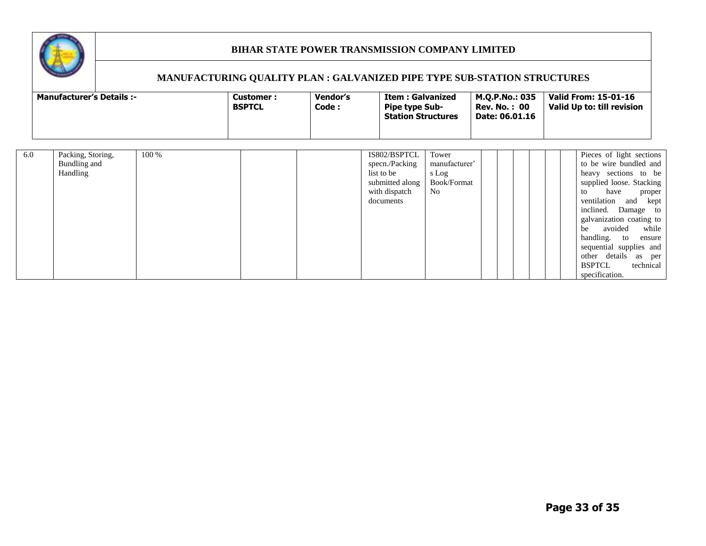

|     | <b>Manufacturer's Details :-</b>              |       | Customer:<br><b>BSPTCL</b> | Vendor's<br>Code : | Item : Galvanized<br><b>Pipe type Sub-</b><br><b>Station Structures</b>                       |                                                       | M.Q.P.No.: 035<br><b>Rev. No.: 00</b><br>Date: 06.01.16 |  | <b>Valid From: 15-01-16</b><br>Valid Up to: till revision                                                                                                                                                                                                                                                                    |                           |
|-----|-----------------------------------------------|-------|----------------------------|--------------------|-----------------------------------------------------------------------------------------------|-------------------------------------------------------|---------------------------------------------------------|--|------------------------------------------------------------------------------------------------------------------------------------------------------------------------------------------------------------------------------------------------------------------------------------------------------------------------------|---------------------------|
| 6.0 | Packing, Storing,<br>Bundling and<br>Handling | 100 % |                            |                    | IS802/BSPTCL<br>specn./Packing<br>list to be<br>submitted along<br>with dispatch<br>documents | Tower<br>manufacturer'<br>s Log<br>Book/Format<br>No. |                                                         |  | Pieces of light sections<br>to be wire bundled and<br>heavy sections to be<br>supplied loose. Stacking<br>have<br>to<br>ventilation and kept<br>inclined. Damage to<br>galvanization coating to<br>avoided<br>be<br>handling. to<br>sequential supplies and<br>other details as per<br>technical<br>BSPTCL<br>specification. | proper<br>while<br>ensure |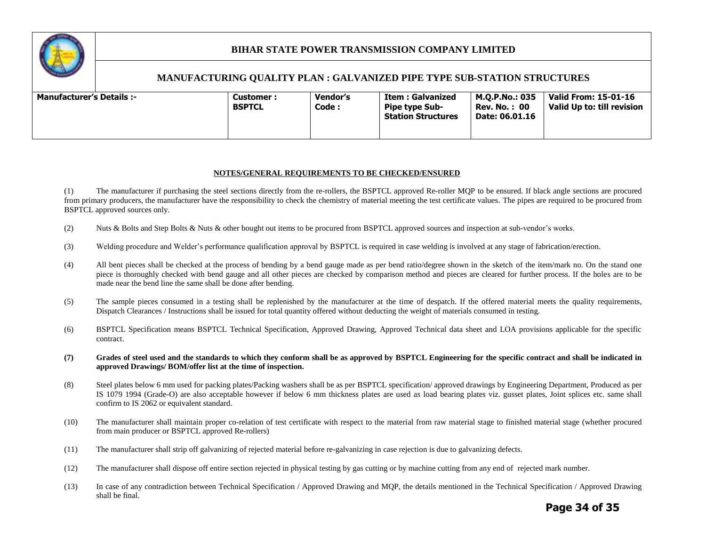

#### **MANUFACTURING QUALITY PLAN : GALVANIZED PIPE TYPE SUB-STATION STRUCTURES**

|--|--|

#### **NOTES/GENERAL REQUIREMENTS TO BE CHECKED/ENSURED**

(1) The manufacturer if purchasing the steel sections directly from the re-rollers, the BSPTCL approved Re-roller MQP to be ensured. If black angle sections are procured from primary producers, the manufacturer have the responsibility to check the chemistry of material meeting the test certificate values. The pipes are required to be procured from BSPTCL approved sources only.

- (2) Nuts & Bolts and Step Bolts & Nuts & other bought out items to be procured from BSPTCL approved sources and inspection at sub-vendor's works.
- (3) Welding procedure and Welder's performance qualification approval by BSPTCL is required in case welding is involved at any stage of fabrication/erection.
- (4) All bent pieces shall be checked at the process of bending by a bend gauge made as per bend ratio/degree shown in the sketch of the item/mark no. On the stand one piece is thoroughly checked with bend gauge and all other pieces are checked by comparison method and pieces are cleared for further process. If the holes are to be made near the bend line the same shall be done after bending.
- (5) The sample pieces consumed in a testing shall be replenished by the manufacturer at the time of despatch. If the offered material meets the quality requirements, Dispatch Clearances / Instructions shall be issued for total quantity offered without deducting the weight of materials consumed in testing.
- (6) BSPTCL Specification means BSPTCL Technical Specification, Approved Drawing, Approved Technical data sheet and LOA provisions applicable for the specific contract.
- **(7) Grades of steel used and the standards to which they conform shall be as approved by BSPTCL Engineering for the specific contract and shall be indicated in approved Drawings/ BOM/offer list at the time of inspection.**
- (8) Steel plates below 6 mm used for packing plates/Packing washers shall be as per BSPTCL specification/ approved drawings by Engineering Department, Produced as per IS 1079 1994 (Grade-O) are also acceptable however if below 6 mm thickness plates are used as load bearing plates viz. gusset plates, Joint splices etc. same shall confirm to IS 2062 or equivalent standard.
- (10) The manufacturer shall maintain proper co-relation of test certificate with respect to the material from raw material stage to finished material stage (whether procured from main producer or BSPTCL approved Re-rollers)
- (11) The manufacturer shall strip off galvanizing of rejected material before re-galvanizing in case rejection is due to galvanizing defects.
- (12) The manufacturer shall dispose off entire section rejected in physical testing by gas cutting or by machine cutting from any end of rejected mark number.
- (13) In case of any contradiction between Technical Specification / Approved Drawing and MQP, the details mentioned in the Technical Specification / Approved Drawing shall be final.